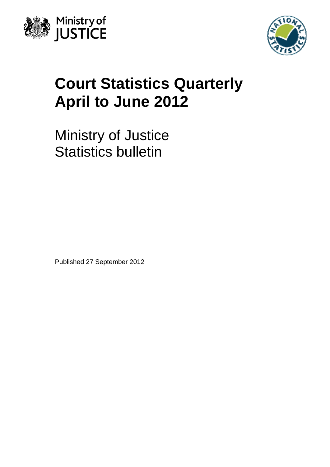



# **Court Statistics Quarterly April to June 2012**

Ministry of Justice Statistics bulletin

Published 27 September 2012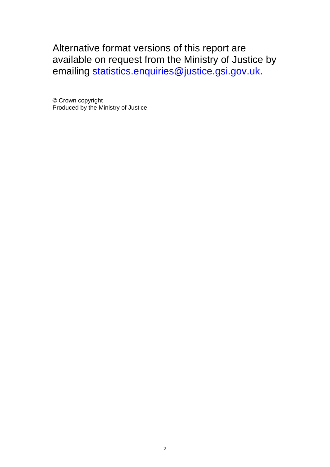Alternative format versions of this report are available on request from the Ministry of Justice by emailing [statistics.enquiries@justice.gsi.gov.uk](mailto:statistics.enquiries@justice.gsi.gov.uk).

© Crown copyright Produced by the Ministry of Justice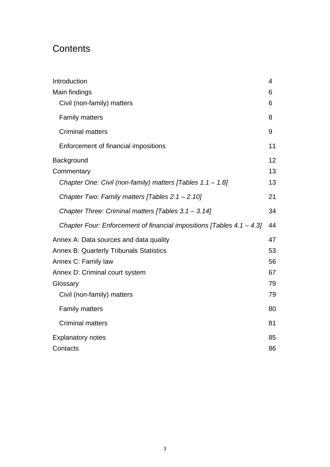# **Contents**

| Introduction                                                             | 4  |
|--------------------------------------------------------------------------|----|
| Main findings                                                            | 6  |
| Civil (non-family) matters                                               | 6  |
| <b>Family matters</b>                                                    | 8  |
| <b>Criminal matters</b>                                                  | 9  |
| Enforcement of financial impositions                                     | 11 |
| Background                                                               | 12 |
| Commentary                                                               | 13 |
| Chapter One: Civil (non-family) matters [Tables 1.1 - 1.8]               | 13 |
| Chapter Two: Family matters [Tables $2.1 - 2.10$ ]                       | 21 |
| Chapter Three: Criminal matters [Tables $3.1 - 3.14$ ]                   | 34 |
| Chapter Four: Enforcement of financial impositions [Tables $4.1 - 4.3$ ] | 44 |
| Annex A: Data sources and data quality                                   | 47 |
| <b>Annex B: Quarterly Tribunals Statistics</b>                           | 53 |
| Annex C: Family law                                                      | 56 |
| Annex D: Criminal court system                                           | 67 |
| Glossary                                                                 | 79 |
| Civil (non-family) matters                                               | 79 |
| <b>Family matters</b>                                                    | 80 |
| <b>Criminal matters</b>                                                  | 81 |
| <b>Explanatory notes</b>                                                 | 85 |
| Contacts                                                                 | 86 |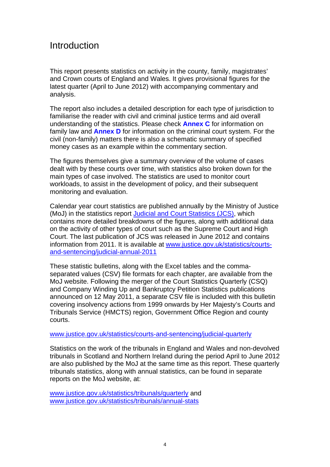# <span id="page-3-0"></span>Introduction

This report presents statistics on activity in the county, family, magistrates' and Crown courts of England and Wales. It gives provisional figures for the latest quarter (April to June 2012) with accompanying commentary and analysis.

The report also includes a detailed description for each type of jurisdiction to familiarise the reader with civil and criminal justice terms and aid overall understanding of the statistics. Please check **[Annex C](#page-55-0)** for information on family law and **[Annex D](#page-66-0)** for information on the criminal court system. For the civil (non-family) matters there is also a schematic summary of specified money cases as an example within the commentary section.

The figures themselves give a summary overview of the volume of cases dealt with by these courts over time, with statistics also broken down for the main types of case involved. The statistics are used to monitor court workloads, to assist in the development of policy, and their subsequent monitoring and evaluation.

Calendar year court statistics are published annually by the Ministry of Justice (MoJ) in the statistics report [Judicial and Court Statistics \(JCS\)](http://www.justice.gov.uk/downloads/statistics/courts-and-sentencing/jcs-2011/judicial-court-stats-2011.pdf), which contains more detailed breakdowns of the figures, along with additional data on the activity of other types of court such as the Supreme Court and High Court. The last publication of JCS was released in June 2012 and contains information from 2011. It is available at [www.justice.gov.uk/statistics/courts](http://www.justice.gov.uk/statistics/courts-and-sentencing/judicial-annual-2011)[and-sentencing/judicial-annual-2011](http://www.justice.gov.uk/statistics/courts-and-sentencing/judicial-annual-2011)

These statistic bulletins, along with the Excel tables and the commaseparated values (CSV) file formats for each chapter, are available from the MoJ website. Following the merger of the Court Statistics Quarterly (CSQ) and Company Winding Up and Bankruptcy Petition Statistics publications announced on 12 May 2011, a separate CSV file is included with this bulletin covering insolvency actions from 1999 onwards by Her Majesty's Courts and Tribunals Service (HMCTS) region, Government Office Region and county courts.

#### [www.justice.gov.uk/statistics/courts-and-sentencing/judicial-quarterly](http://www.justice.gov.uk/statistics/courts-and-sentencing/judicial-quarterly)

Statistics on the work of the tribunals in England and Wales and non-devolved tribunals in Scotland and Northern Ireland during the period April to June 2012 are also published by the MoJ at the same time as this report. These quarterly tribunals statistics, along with annual statistics, can be found in separate reports on the MoJ website, at:

[www.justice.gov.uk/statistics/tribunals/quarterly](http://www.justice.gov.uk/statistics/tribunals/quarterly) and [www.justice.gov.uk/statistics/tribunals/annual-stats](http://www.justice.gov.uk/statistics/tribunals/annual-stats)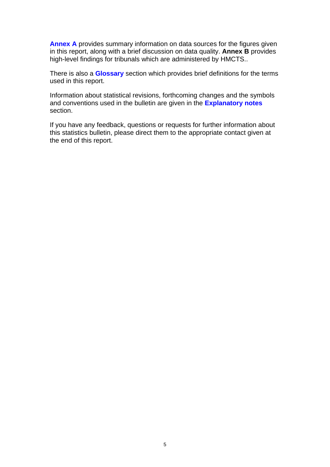**[Annex A](#page-46-0)** provides summary information on data sources for the figures given in this report, along with a brief discussion on data quality. **[Annex B](#page-52-0)** provides high-level findings for tribunals which are administered by HMCTS..

There is also a **[Glossary](#page-78-0)** section which provides brief definitions for the terms used in this report.

Information about statistical revisions, forthcoming changes and the symbols and conventions used in the bulletin are given in the **[Explanatory notes](#page-84-0)** section.

If you have any feedback, questions or requests for further information about this statistics bulletin, please direct them to the appropriate contact given at the end of this report.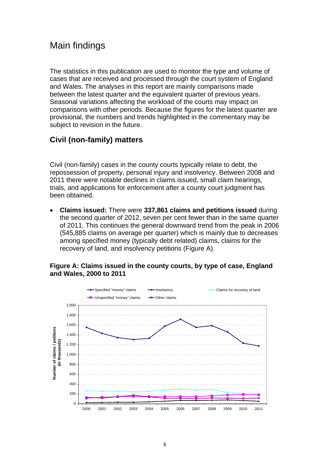# <span id="page-5-0"></span>Main findings

The statistics in this publication are used to monitor the type and volume of cases that are received and processed through the court system of England and Wales. The analyses in this report are mainly comparisons made between the latest quarter and the equivalent quarter of previous years. Seasonal variations affecting the workload of the courts may impact on comparisons with other periods. Because the figures for the latest quarter are provisional, the numbers and trends highlighted in the commentary may be subject to revision in the future.

# <span id="page-5-1"></span>**Civil (non-family) matters**

Civil (non-family) cases in the county courts typically relate to debt, the repossession of property, personal injury and insolvency. Between 2008 and 2011 there were notable declines in claims issued, small claim hearings, trials, and applications for enforcement after a county court judgment has been obtained.

 **Claims issued:** There were **337,861 claims and petitions issued** during the second quarter of 2012, seven per cent fewer than in the same quarter of 2011. This continues the general downward trend from the peak in 2006 (545,885 claims on average per quarter) which is mainly due to decreases among specified money (typically debt related) claims, claims for the recovery of land, and insolvency petitions (Figure A).

#### **Figure A: Claims issued in the county courts, by type of case, England and Wales, 2000 to 2011**

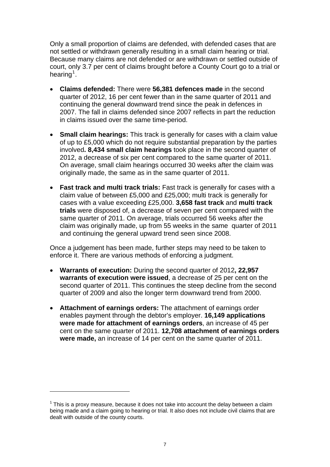Only a small proportion of claims are defended, with defended cases that are not settled or withdrawn generally resulting in a small claim hearing or trial. Because many claims are not defended or are withdrawn or settled outside of court, only 3.7 per cent of claims brought before a County Court go to a trial or hearing<sup>[1](#page-6-0)</sup>.

- **Claims defended:** There were **56,381 defences made** in the second quarter of 2012, 16 per cent fewer than in the same quarter of 2011 and continuing the general downward trend since the peak in defences in 2007. The fall in claims defended since 2007 reflects in part the reduction in claims issued over the same time-period.
- **Small claim hearings:** This track is generally for cases with a claim value of up to £5,000 which do not require substantial preparation by the parties involved**. 8,434 small claim hearings** took place in the second quarter of 2012, a decrease of six per cent compared to the same quarter of 2011. On average, small claim hearings occurred 30 weeks after the claim was originally made, the same as in the same quarter of 2011.
- **Fast track and multi track trials:** Fast track is generally for cases with a claim value of between £5,000 and £25,000; multi track is generally for cases with a value exceeding £25,000. **3,658 fast track** and **multi track trials** were disposed of, a decrease of seven per cent compared with the same quarter of 2011. On average, trials occurred 56 weeks after the claim was originally made, up from 55 weeks in the same quarter of 2011 and continuing the general upward trend seen since 2008.

Once a judgement has been made, further steps may need to be taken to enforce it. There are various methods of enforcing a judgment.

- **Warrants of execution:** During the second quarter of 2012**, 22,957 warrants of execution were issued**, a decrease of 25 per cent on the second quarter of 2011. This continues the steep decline from the second quarter of 2009 and also the longer term downward trend from 2000.
- **Attachment of earnings orders:** The attachment of earnings order enables payment through the debtor's employer. **16,149 applications were made for attachment of earnings orders**, an increase of 45 per cent on the same quarter of 2011. **12,708 attachment of earnings orders were made,** an increase of 14 per cent on the same quarter of 2011.

1

<span id="page-6-0"></span> $1$  This is a proxy measure, because it does not take into account the delay between a claim being made and a claim going to hearing or trial. It also does not include civil claims that are dealt with outside of the county courts.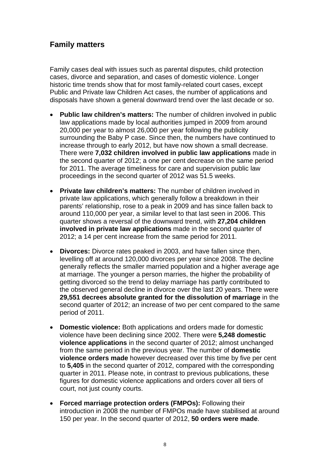### <span id="page-7-0"></span>**Family matters**

Family cases deal with issues such as parental disputes, child protection cases, divorce and separation, and cases of domestic violence. Longer historic time trends show that for most family-related court cases, except Public and Private law Children Act cases, the number of applications and disposals have shown a general downward trend over the last decade or so.

- **Public law children's matters:** The number of children involved in public law applications made by local authorities jumped in 2009 from around 20,000 per year to almost 26,000 per year following the publicity surrounding the Baby P case. Since then, the numbers have continued to increase through to early 2012, but have now shown a small decrease. There were **7,032 children involved in public law applications** made in the second quarter of 2012; a one per cent decrease on the same period for 2011. The average timeliness for care and supervision public law proceedings in the second quarter of 2012 was 51.5 weeks.
- **Private law children's matters:** The number of children involved in private law applications, which generally follow a breakdown in their parents' relationship, rose to a peak in 2009 and has since fallen back to around 110,000 per year, a similar level to that last seen in 2006. This quarter shows a reversal of the downward trend, with **27,204 children involved in private law applications** made in the second quarter of 2012; a 14 per cent increase from the same period for 2011.
- **Divorces:** Divorce rates peaked in 2003, and have fallen since then, levelling off at around 120,000 divorces per year since 2008. The decline generally reflects the smaller married population and a higher average age at marriage. The younger a person marries, the higher the probability of getting divorced so the trend to delay marriage has partly contributed to the observed general decline in divorce over the last 20 years. There were **29,551 decrees absolute granted for the dissolution of marriage** in the second quarter of 2012; an increase of two per cent compared to the same period of 2011.
- **Domestic violence:** Both applications and orders made for domestic violence have been declining since 2002. There were **5,248 domestic violence applications** in the second quarter of 2012; almost unchanged from the same period in the previous year. The number of **domestic violence orders made** however decreased over this time by five per cent to **5,405** in the second quarter of 2012, compared with the corresponding quarter in 2011. Please note, in contrast to previous publications, these figures for domestic violence applications and orders cover all tiers of court, not just county courts.
- **Forced marriage protection orders (FMPOs):** Following their introduction in 2008 the number of FMPOs made have stabilised at around 150 per year. In the second quarter of 2012, **50 orders were made**.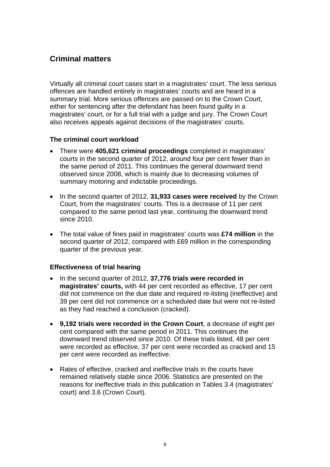### <span id="page-8-0"></span>**Criminal matters**

Virtually all criminal court cases start in a magistrates' court. The less serious offences are handled entirely in magistrates' courts and are heard in a summary trial. More serious offences are passed on to the Crown Court, either for sentencing after the defendant has been found guilty in a magistrates' court, or for a full trial with a judge and jury. The Crown Court also receives appeals against decisions of the magistrates' courts.

#### **The criminal court workload**

- There were **405,621 criminal proceedings** completed in magistrates' courts in the second quarter of 2012, around four per cent fewer than in the same period of 2011. This continues the general downward trend observed since 2008, which is mainly due to decreasing volumes of summary motoring and indictable proceedings.
- In the second quarter of 2012, **31,933 cases were received** by the Crown Court, from the magistrates' courts. This is a decrease of 11 per cent compared to the same period last year, continuing the downward trend since 2010.
- The total value of fines paid in magistrates' courts was **£74 million** in the second quarter of 2012, compared with £69 million in the corresponding quarter of the previous year.

#### **Effectiveness of trial hearing**

- In the second quarter of 2012, **37,776 trials were recorded in magistrates' courts,** with 44 per cent recorded as effective, 17 per cent did not commence on the due date and required re-listing (ineffective) and 39 per cent did not commence on a scheduled date but were not re-listed as they had reached a conclusion (cracked).
- **9,192 trials were recorded in the Crown Court**, a decrease of eight per cent compared with the same period in 2011. This continues the downward trend observed since 2010. Of these trials listed, 48 per cent were recorded as effective, 37 per cent were recorded as cracked and 15 per cent were recorded as ineffective.
- Rates of effective, cracked and ineffective trials in the courts have remained relatively stable since 2006. Statistics are presented on the reasons for ineffective trials in this publication in Tables 3.4 (magistrates' court) and 3.6 (Crown Court).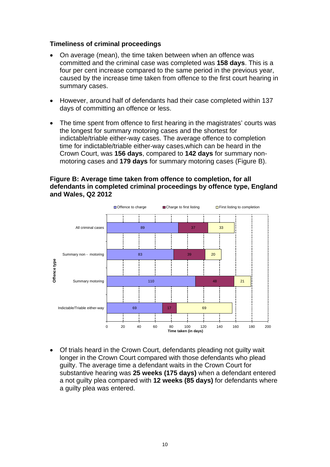#### **Timeliness of criminal proceedings**

- On average (mean), the time taken between when an offence was committed and the criminal case was completed was **158 days**. This is a four per cent increase compared to the same period in the previous year, caused by the increase time taken from offence to the first court hearing in summary cases.
- However, around half of defendants had their case completed within 137 days of committing an offence or less.
- The time spent from offence to first hearing in the magistrates' courts was the longest for summary motoring cases and the shortest for indictable/triable either-way cases. The average offence to completion time for indictable/triable either-way cases,which can be heard in the Crown Court, was **156 days**, compared to **142 days** for summary nonmotoring cases and **179 days** for summary motoring cases (Figure B).

#### **Figure B: Average time taken from offence to completion, for all defendants in completed criminal proceedings by offence type, England and Wales, Q2 2012**



 Of trials heard in the Crown Court, defendants pleading not guilty wait longer in the Crown Court compared with those defendants who plead guilty. The average time a defendant waits in the Crown Court for substantive hearing was **25 weeks (175 days)** when a defendant entered a not guilty plea compared with **12 weeks (85 days)** for defendants where a guilty plea was entered.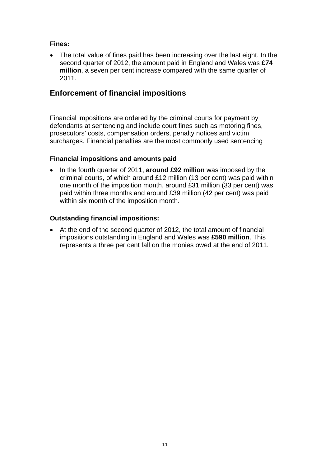#### **Fines:**

 The total value of fines paid has been increasing over the last eight. In the second quarter of 2012, the amount paid in England and Wales was **£74 million**, a seven per cent increase compared with the same quarter of 2011.

### <span id="page-10-0"></span>**Enforcement of financial impositions**

Financial impositions are ordered by the criminal courts for payment by defendants at sentencing and include court fines such as motoring fines, prosecutors' costs, compensation orders, penalty notices and victim surcharges. Financial penalties are the most commonly used sentencing

#### **Financial impositions and amounts paid**

• In the fourth quarter of 2011, **around £92 million** was imposed by the criminal courts, of which around £12 million (13 per cent) was paid within one month of the imposition month, around £31 million (33 per cent) was paid within three months and around £39 million (42 per cent) was paid within six month of the imposition month.

#### **Outstanding financial impositions:**

 At the end of the second quarter of 2012, the total amount of financial impositions outstanding in England and Wales was **£590 million**. This represents a three per cent fall on the monies owed at the end of 2011.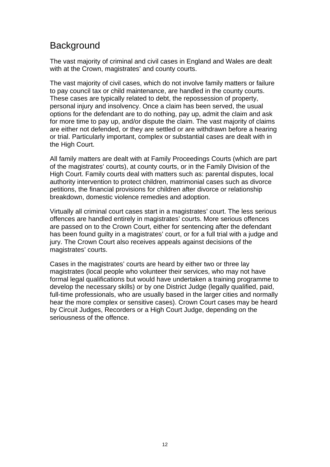# <span id="page-11-0"></span>**Background**

The vast majority of criminal and civil cases in England and Wales are dealt with at the Crown, magistrates' and county courts.

The vast majority of civil cases, which do not involve family matters or failure to pay council tax or child maintenance, are handled in the county courts. These cases are typically related to debt, the repossession of property, personal injury and insolvency. Once a claim has been served, the usual options for the defendant are to do nothing, pay up, admit the claim and ask for more time to pay up, and/or dispute the claim. The vast majority of claims are either not defended, or they are settled or are withdrawn before a hearing or trial. Particularly important, complex or substantial cases are dealt with in the High Court.

All family matters are dealt with at Family Proceedings Courts (which are part of the magistrates' courts), at county courts, or in the Family Division of the High Court. Family courts deal with matters such as: parental disputes, local authority intervention to protect children, matrimonial cases such as divorce petitions, the financial provisions for children after divorce or relationship breakdown, domestic violence remedies and adoption.

Virtually all criminal court cases start in a magistrates' court. The less serious offences are handled entirely in magistrates' courts. More serious offences are passed on to the Crown Court, either for sentencing after the defendant has been found guilty in a magistrates' court, or for a full trial with a judge and jury. The Crown Court also receives appeals against decisions of the magistrates' courts.

Cases in the magistrates' courts are heard by either two or three lay magistrates (local people who volunteer their services, who may not have formal legal qualifications but would have undertaken a training programme to develop the necessary skills) or by one District Judge (legally qualified, paid, full-time professionals, who are usually based in the larger cities and normally hear the more complex or sensitive cases). Crown Court cases may be heard by Circuit Judges, Recorders or a High Court Judge, depending on the seriousness of the offence.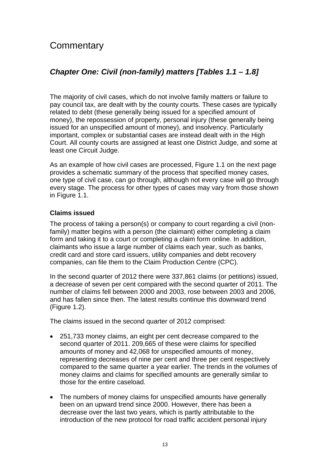# <span id="page-12-0"></span>**Commentary**

## <span id="page-12-1"></span>*Chapter One: Civil (non-family) matters [Tables 1.1 – 1.8]*

The majority of civil cases, which do not involve family matters or failure to pay council tax, are dealt with by the county courts. These cases are typically related to debt (these generally being issued for a specified amount of money), the repossession of property, personal injury (these generally being issued for an unspecified amount of money), and insolvency. Particularly important, complex or substantial cases are instead dealt with in the High Court. All county courts are assigned at least one District Judge, and some at least one Circuit Judge.

As an example of how civil cases are processed, Figure 1.1 on the next page provides a schematic summary of the process that specified money cases, one type of civil case, can go through, although not every case will go through every stage. The process for other types of cases may vary from those shown in Figure 1.1.

#### **Claims issued**

The process of taking a person(s) or company to court regarding a civil (nonfamily) matter begins with a person (the claimant) either completing a claim form and taking it to a court or completing a claim form online. In addition, claimants who issue a large number of claims each year, such as banks, credit card and store card issuers, utility companies and debt recovery companies, can file them to the Claim Production Centre (CPC).

In the second quarter of 2012 there were 337,861 claims (or petitions) issued, a decrease of seven per cent compared with the second quarter of 2011. The number of claims fell between 2000 and 2003, rose between 2003 and 2006, and has fallen since then. The latest results continue this downward trend (Figure 1.2).

The claims issued in the second quarter of 2012 comprised:

- 251,733 money claims, an eight per cent decrease compared to the second quarter of 2011. 209,665 of these were claims for specified amounts of money and 42,068 for unspecified amounts of money, representing decreases of nine per cent and three per cent respectively compared to the same quarter a year earlier. The trends in the volumes of money claims and claims for specified amounts are generally similar to those for the entire caseload.
- The numbers of money claims for unspecified amounts have generally been on an upward trend since 2000. However, there has been a decrease over the last two years, which is partly attributable to the introduction of the new protocol for road traffic accident personal injury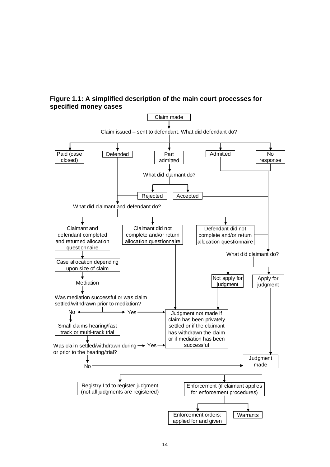**Figure 1.1: A simplified description of the main court processes for specified money cases** 

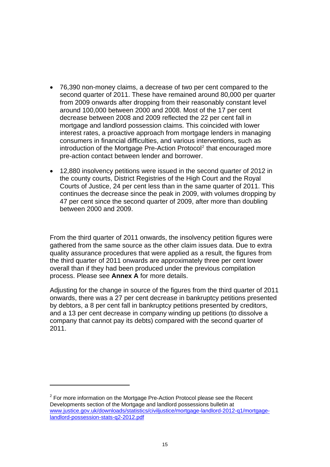- 76,390 non-money claims, a decrease of two per cent compared to the second quarter of 2011. These have remained around 80,000 per quarter from 2009 onwards after dropping from their reasonably constant level around 100,000 between 2000 and 2008. Most of the 17 per cent decrease between 2008 and 2009 reflected the 22 per cent fall in mortgage and landlord possession claims. This coincided with lower interest rates, a proactive approach from mortgage lenders in managing consumers in financial difficulties, and various interventions, such as introduction of the Mortgage Pre-Action Protocol<sup>[2](#page-14-0)</sup> that encouraged more pre-action contact between lender and borrower.
- 12,880 insolvency petitions were issued in the second quarter of 2012 in the county courts, District Registries of the High Court and the Royal Courts of Justice, 24 per cent less than in the same quarter of 2011. This continues the decrease since the peak in 2009, with volumes dropping by 47 per cent since the second quarter of 2009, after more than doubling between 2000 and 2009.

From the third quarter of 2011 onwards, the insolvency petition figures were gathered from the same source as the other claim issues data. Due to extra quality assurance procedures that were applied as a result, the figures from the third quarter of 2011 onwards are approximately three per cent lower overall than if they had been produced under the previous compilation process. Please see **Annex A** for more details.

Adjusting for the change in source of the figures from the third quarter of 2011 onwards, there was a 27 per cent decrease in bankruptcy petitions presented by debtors, a 8 per cent fall in bankruptcy petitions presented by creditors, and a 13 per cent decrease in company winding up petitions (to dissolve a company that cannot pay its debts) compared with the second quarter of 2011.

1

<span id="page-14-0"></span> $2$  For more information on the Mortgage Pre-Action Protocol please see the Recent Developments section of the Mortgage and landlord possessions bulletin at [www.justice.gov.uk/downloads/statistics/civiljustice/mortgage-landlord-2012-q1/mortgage](http://www.justice.gov.uk/downloads/statistics/civiljustice/mortgage-landlord-2012-q1/mortgage-landlord-possession-stats-q2-2012.pdf)[landlord-possession-stats-q2-2012.pdf](http://www.justice.gov.uk/downloads/statistics/civiljustice/mortgage-landlord-2012-q1/mortgage-landlord-possession-stats-q2-2012.pdf)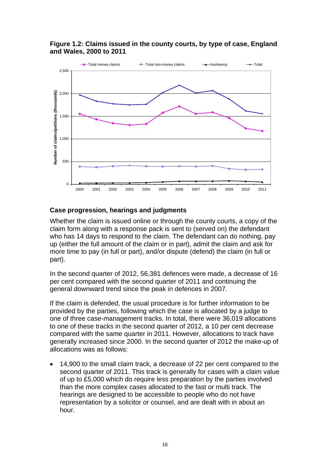

**Figure 1.2: Claims issued in the county courts, by type of case, England and Wales, 2000 to 2011** 

#### **Case progression, hearings and judgments**

Whether the claim is issued online or through the county courts, a copy of the claim form along with a response pack is sent to (served on) the defendant who has 14 days to respond to the claim. The defendant can do nothing, pay up (either the full amount of the claim or in part), admit the claim and ask for more time to pay (in full or part), and/or dispute (defend) the claim (in full or part).

In the second quarter of 2012, 56,381 defences were made, a decrease of 16 per cent compared with the second quarter of 2011 and continuing the general downward trend since the peak in defences in 2007.

If the claim is defended, the usual procedure is for further information to be provided by the parties, following which the case is allocated by a judge to one of three case-management tracks. In total, there were 36,019 allocations to one of these tracks in the second quarter of 2012, a 10 per cent decrease compared with the same quarter in 2011. However, allocations to track have generally increased since 2000. In the second quarter of 2012 the make-up of allocations was as follows:

 14,900 to the small claim track, a decrease of 22 per cent compared to the second quarter of 2011. This track is generally for cases with a claim value of up to £5,000 which do require less preparation by the parties involved than the more complex cases allocated to the fast or multi track. The hearings are designed to be accessible to people who do not have representation by a solicitor or counsel, and are dealt with in about an hour.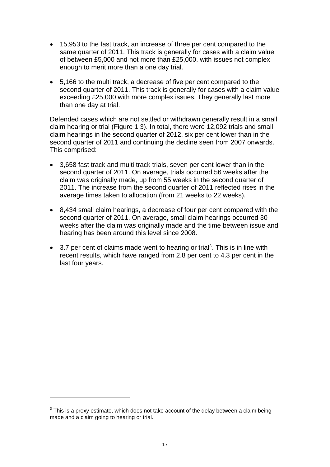- 15,953 to the fast track, an increase of three per cent compared to the same quarter of 2011. This track is generally for cases with a claim value of between £5,000 and not more than £25,000, with issues not complex enough to merit more than a one day trial.
- 5,166 to the multi track, a decrease of five per cent compared to the second quarter of 2011. This track is generally for cases with a claim value exceeding £25,000 with more complex issues. They generally last more than one day at trial.

Defended cases which are not settled or withdrawn generally result in a small claim hearing or trial (Figure 1.3). In total, there were 12,092 trials and small claim hearings in the second quarter of 2012, six per cent lower than in the second quarter of 2011 and continuing the decline seen from 2007 onwards. This comprised:

- 3,658 fast track and multi track trials, seven per cent lower than in the second quarter of 2011. On average, trials occurred 56 weeks after the claim was originally made, up from 55 weeks in the second quarter of 2011. The increase from the second quarter of 2011 reflected rises in the average times taken to allocation (from 21 weeks to 22 weeks).
- 8,434 small claim hearings, a decrease of four per cent compared with the second quarter of 2011. On average, small claim hearings occurred 30 weeks after the claim was originally made and the time between issue and hearing has been around this level since 2008.
- $\bullet$  [3](#page-16-0).7 per cent of claims made went to hearing or trial<sup>3</sup>. This is in line with recent results, which have ranged from 2.8 per cent to 4.3 per cent in the last four years.

1

<span id="page-16-0"></span> $3$  This is a proxy estimate, which does not take account of the delay between a claim being made and a claim going to hearing or trial.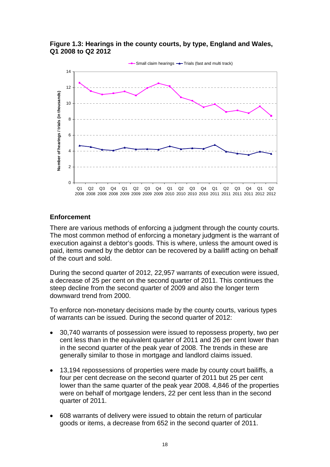



#### **Enforcement**

There are various methods of enforcing a judgment through the county courts. The most common method of enforcing a monetary judgment is the warrant of execution against a debtor's goods. This is where, unless the amount owed is paid, items owned by the debtor can be recovered by a bailiff acting on behalf of the court and sold.

During the second quarter of 2012, 22,957 warrants of execution were issued, a decrease of 25 per cent on the second quarter of 2011. This continues the steep decline from the second quarter of 2009 and also the longer term downward trend from 2000.

To enforce non-monetary decisions made by the county courts, various types of warrants can be issued. During the second quarter of 2012:

- 30,740 warrants of possession were issued to repossess property, two per cent less than in the equivalent quarter of 2011 and 26 per cent lower than in the second quarter of the peak year of 2008. The trends in these are generally similar to those in mortgage and landlord claims issued.
- 13,194 repossessions of properties were made by county court bailiffs, a four per cent decrease on the second quarter of 2011 but 25 per cent lower than the same quarter of the peak year 2008. 4,846 of the properties were on behalf of mortgage lenders, 22 per cent less than in the second quarter of 2011.
- 608 warrants of delivery were issued to obtain the return of particular goods or items, a decrease from 652 in the second quarter of 2011.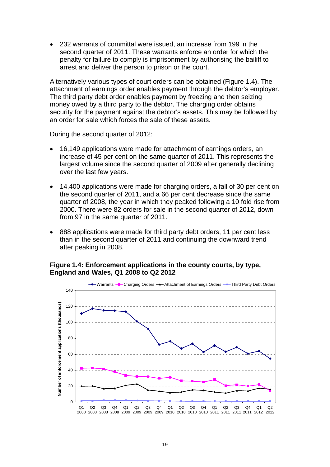232 warrants of committal were issued, an increase from 199 in the second quarter of 2011. These warrants enforce an order for which the penalty for failure to comply is imprisonment by authorising the bailiff to arrest and deliver the person to prison or the court.

Alternatively various types of court orders can be obtained (Figure 1.4). The attachment of earnings order enables payment through the debtor's employer. The third party debt order enables payment by freezing and then seizing money owed by a third party to the debtor. The charging order obtains security for the payment against the debtor's assets. This may be followed by an order for sale which forces the sale of these assets.

During the second quarter of 2012:

- 16,149 applications were made for attachment of earnings orders, an increase of 45 per cent on the same quarter of 2011. This represents the largest volume since the second quarter of 2009 after generally declining over the last few years.
- 14,400 applications were made for charging orders, a fall of 30 per cent on the second quarter of 2011, and a 66 per cent decrease since the same quarter of 2008, the year in which they peaked following a 10 fold rise from 2000. There were 82 orders for sale in the second quarter of 2012, down from 97 in the same quarter of 2011.
- 888 applications were made for third party debt orders, 11 per cent less than in the second quarter of 2011 and continuing the downward trend after peaking in 2008.

#### **Figure 1.4: Enforcement applications in the county courts, by type, England and Wales, Q1 2008 to Q2 2012**

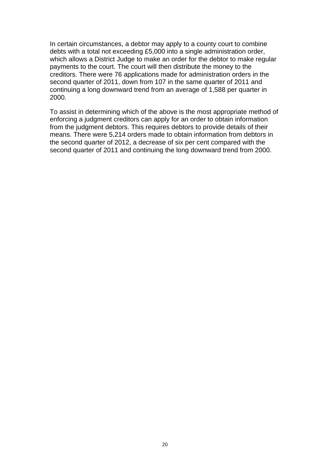In certain circumstances, a debtor may apply to a county court to combine debts with a total not exceeding £5,000 into a single administration order, which allows a District Judge to make an order for the debtor to make regular payments to the court. The court will then distribute the money to the creditors. There were 76 applications made for administration orders in the second quarter of 2011, down from 107 in the same quarter of 2011 and continuing a long downward trend from an average of 1,588 per quarter in 2000.

To assist in determining which of the above is the most appropriate method of enforcing a judgment creditors can apply for an order to obtain information from the judgment debtors. This requires debtors to provide details of their means. There were 5,214 orders made to obtain information from debtors in the second quarter of 2012, a decrease of six per cent compared with the second quarter of 2011 and continuing the long downward trend from 2000.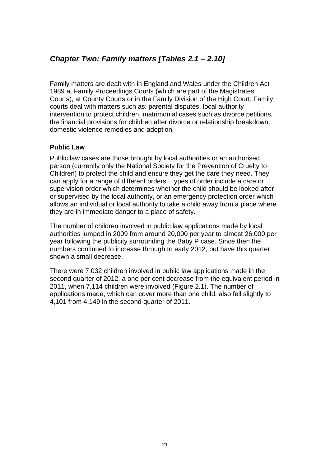### <span id="page-20-0"></span>*Chapter Two: Family matters [Tables 2.1 – 2.10]*

Family matters are dealt with in England and Wales under the Children Act 1989 at Family Proceedings Courts (which are part of the Magistrates' Courts), at County Courts or in the Family Division of the High Court. Family courts deal with matters such as: parental disputes, local authority intervention to protect children, matrimonial cases such as divorce petitions, the financial provisions for children after divorce or relationship breakdown, domestic violence remedies and adoption.

#### **Public Law**

Public law cases are those brought by local authorities or an authorised person (currently only the National Society for the Prevention of Cruelty to Children) to protect the child and ensure they get the care they need. They can apply for a range of different orders. Types of order include a care or supervision order which determines whether the child should be looked after or supervised by the local authority, or an emergency protection order which allows an individual or local authority to take a child away from a place where they are in immediate danger to a place of safety.

The number of children involved in public law applications made by local authorities jumped in 2009 from around 20,000 per year to almost 26,000 per year following the publicity surrounding the Baby P case. Since then the numbers continued to increase through to early 2012, but have this quarter shown a small decrease.

There were 7,032 children involved in public law applications made in the second quarter of 2012, a one per cent decrease from the equivalent period in 2011, when 7,114 children were involved (Figure 2.1). The number of applications made, which can cover more than one child, also fell slightly to 4,101 from 4,149 in the second quarter of 2011.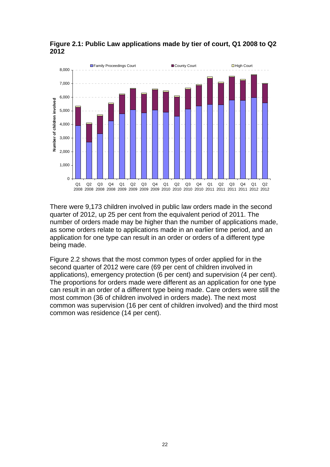

**Figure 2.1: Public Law applications made by tier of court, Q1 2008 to Q2 2012** 

There were 9,173 children involved in public law orders made in the second quarter of 2012, up 25 per cent from the equivalent period of 2011. The number of orders made may be higher than the number of applications made, as some orders relate to applications made in an earlier time period, and an application for one type can result in an order or orders of a different type being made.

Figure 2.2 shows that the most common types of order applied for in the second quarter of 2012 were care (69 per cent of children involved in applications), emergency protection (6 per cent) and supervision (4 per cent). The proportions for orders made were different as an application for one type can result in an order of a different type being made. Care orders were still the most common (36 of children involved in orders made). The next most common was supervision (16 per cent of children involved) and the third most common was residence (14 per cent).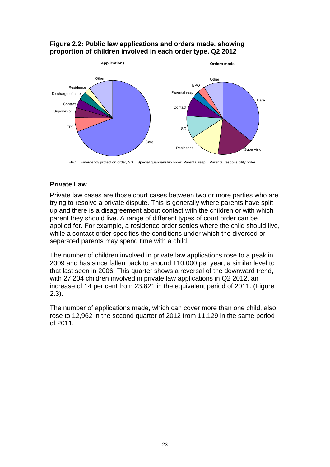#### **Figure 2.2: Public law applications and orders made, showing proportion of children involved in each order type, Q2 2012**



EPO = Emergency protection order, SG = Special guardianship order, Parental resp = Parental responsibility order

#### **Private Law**

Private law cases are those court cases between two or more parties who are trying to resolve a private dispute. This is generally where parents have split up and there is a disagreement about contact with the children or with which parent they should live. A range of different types of court order can be applied for. For example, a residence order settles where the child should live, while a contact order specifies the conditions under which the divorced or separated parents may spend time with a child.

The number of children involved in private law applications rose to a peak in 2009 and has since fallen back to around 110,000 per year, a similar level to that last seen in 2006. This quarter shows a reversal of the downward trend, with 27,204 children involved in private law applications in Q2 2012, an increase of 14 per cent from 23,821 in the equivalent period of 2011. (Figure 2.3).

The number of applications made, which can cover more than one child, also rose to 12,962 in the second quarter of 2012 from 11,129 in the same period of 2011.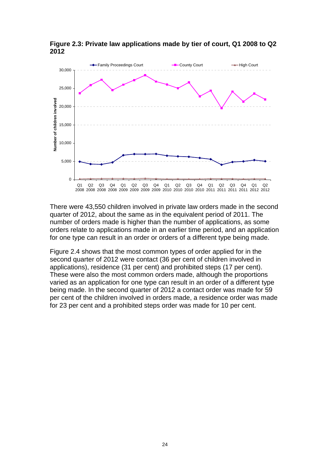

**Figure 2.3: Private law applications made by tier of court, Q1 2008 to Q2 2012** 

There were 43,550 children involved in private law orders made in the second quarter of 2012, about the same as in the equivalent period of 2011. The number of orders made is higher than the number of applications, as some orders relate to applications made in an earlier time period, and an application for one type can result in an order or orders of a different type being made.

Figure 2.4 shows that the most common types of order applied for in the second quarter of 2012 were contact (36 per cent of children involved in applications), residence (31 per cent) and prohibited steps (17 per cent). These were also the most common orders made, although the proportions varied as an application for one type can result in an order of a different type being made. In the second quarter of 2012 a contact order was made for 59 per cent of the children involved in orders made, a residence order was made for 23 per cent and a prohibited steps order was made for 10 per cent.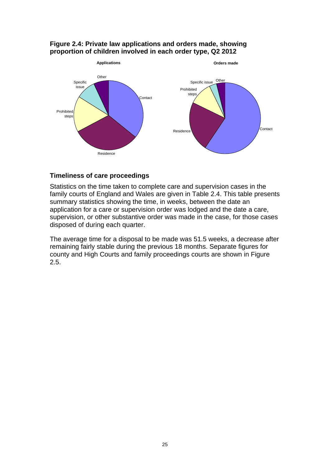#### **Figure 2.4: Private law applications and orders made, showing proportion of children involved in each order type, Q2 2012**



#### **Timeliness of care proceedings**

Statistics on the time taken to complete care and supervision cases in the family courts of England and Wales are given in Table 2.4. This table presents summary statistics showing the time, in weeks, between the date an application for a care or supervision order was lodged and the date a care, supervision, or other substantive order was made in the case, for those cases disposed of during each quarter.

The average time for a disposal to be made was 51.5 weeks, a decrease after remaining fairly stable during the previous 18 months. Separate figures for county and High Courts and family proceedings courts are shown in Figure 2.5.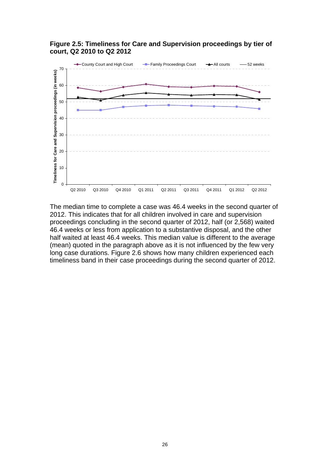

**Figure 2.5: Timeliness for Care and Supervision proceedings by tier of court, Q2 2010 to Q2 2012** 

The median time to complete a case was 46.4 weeks in the second quarter of 2012. This indicates that for all children involved in care and supervision proceedings concluding in the second quarter of 2012, half (or 2,568) waited 46.4 weeks or less from application to a substantive disposal, and the other half waited at least 46.4 weeks. This median value is different to the average (mean) quoted in the paragraph above as it is not influenced by the few very long case durations. Figure 2.6 shows how many children experienced each timeliness band in their case proceedings during the second quarter of 2012.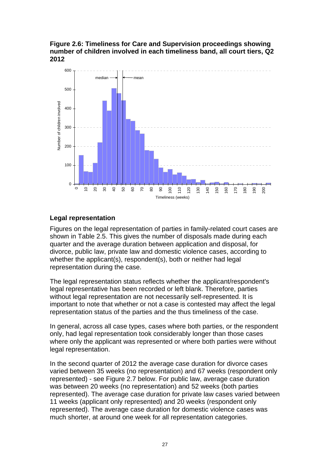**Figure 2.6: Timeliness for Care and Supervision proceedings showing number of children involved in each timeliness band, all court tiers, Q2 2012** 



#### **Legal representation**

Figures on the legal representation of parties in family-related court cases are shown in Table 2.5. This gives the number of disposals made during each quarter and the average duration between application and disposal, for divorce, public law, private law and domestic violence cases, according to whether the applicant(s), respondent(s), both or neither had legal representation during the case.

The legal representation status reflects whether the applicant/respondent's legal representative has been recorded or left blank. Therefore, parties without legal representation are not necessarily self-represented. It is important to note that whether or not a case is contested may affect the legal representation status of the parties and the thus timeliness of the case.

In general, across all case types, cases where both parties, or the respondent only, had legal representation took considerably longer than those cases where only the applicant was represented or where both parties were without legal representation.

In the second quarter of 2012 the average case duration for divorce cases varied between 35 weeks (no representation) and 67 weeks (respondent only represented) - see Figure 2.7 below. For public law, average case duration was between 20 weeks (no representation) and 52 weeks (both parties represented). The average case duration for private law cases varied between 11 weeks (applicant only represented) and 20 weeks (respondent only represented). The average case duration for domestic violence cases was much shorter, at around one week for all representation categories.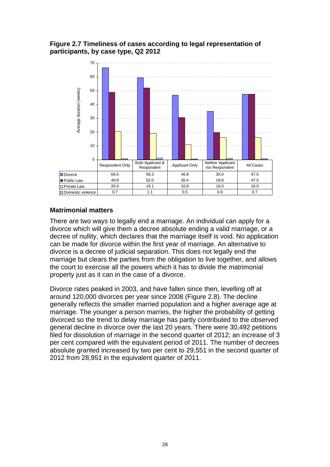#### **Figure 2.7 Timeliness of cases according to legal representation of participants, by case type, Q2 2012**



#### **Matrimonial matters**

There are two ways to legally end a marriage. An individual can apply for a divorce which will give them a decree absolute ending a valid marriage, or a decree of nullity, which declares that the marriage itself is void. No application can be made for divorce within the first year of marriage. An alternative to divorce is a decree of judicial separation. This does not legally end the marriage but clears the parties from the obligation to live together, and allows the court to exercise all the powers which it has to divide the matrimonial property just as it can in the case of a divorce.

Divorce rates peaked in 2003, and have fallen since then, levelling off at around 120,000 divorces per year since 2008 (Figure 2.8). The decline generally reflects the smaller married population and a higher average age at marriage. The younger a person marries, the higher the probability of getting divorced so the trend to delay marriage has partly contributed to the observed general decline in divorce over the last 20 years. There were 30,492 petitions filed for dissolution of marriage in the second quarter of 2012; an increase of 3 per cent compared with the equivalent period of 2011. The number of decrees absolute granted increased by two per cent to 29,551 in the second quarter of 2012 from 28,951 in the equivalent quarter of 2011.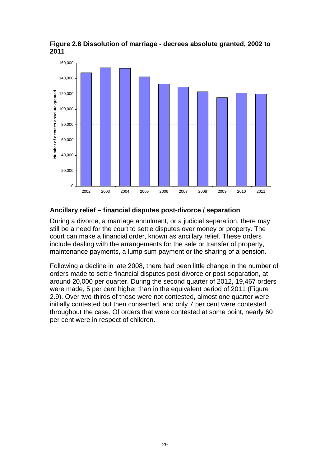

**Figure 2.8 Dissolution of marriage - decrees absolute granted, 2002 to 2011** 

#### **Ancillary relief – financial disputes post-divorce / separation**

During a divorce, a marriage annulment, or a judicial separation, there may still be a need for the court to settle disputes over money or property. The court can make a financial order, known as ancillary relief. These orders include dealing with the arrangements for the sale or transfer of property, maintenance payments, a lump sum payment or the sharing of a pension.

Following a decline in late 2008, there had been little change in the number of orders made to settle financial disputes post-divorce or post-separation, at around 20,000 per quarter. During the second quarter of 2012, 19,467 orders were made, 5 per cent higher than in the equivalent period of 2011 (Figure 2.9). Over two-thirds of these were not contested, almost one quarter were initially contested but then consented, and only 7 per cent were contested throughout the case. Of orders that were contested at some point, nearly 60 per cent were in respect of children.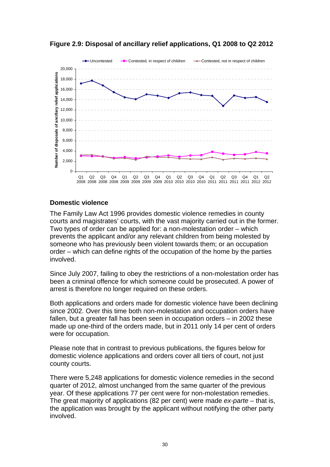

**Figure 2.9: Disposal of ancillary relief applications, Q1 2008 to Q2 2012** 

#### **Domestic violence**

The Family Law Act 1996 provides domestic violence remedies in county courts and magistrates' courts, with the vast majority carried out in the former. Two types of order can be applied for: a non-molestation order – which prevents the applicant and/or any relevant children from being molested by someone who has previously been violent towards them; or an occupation order – which can define rights of the occupation of the home by the parties involved.

Since July 2007, failing to obey the restrictions of a non-molestation order has been a criminal offence for which someone could be prosecuted. A power of arrest is therefore no longer required on these orders.

Both applications and orders made for domestic violence have been declining since 2002. Over this time both non-molestation and occupation orders have fallen, but a greater fall has been seen in occupation orders – in 2002 these made up one-third of the orders made, but in 2011 only 14 per cent of orders were for occupation.

Please note that in contrast to previous publications, the figures below for domestic violence applications and orders cover all tiers of court, not just county courts.

There were 5,248 applications for domestic violence remedies in the second quarter of 2012, almost unchanged from the same quarter of the previous year. Of these applications 77 per cent were for non-molestation remedies. The great majority of applications (82 per cent) were made *ex-parte* – that is, the application was brought by the applicant without notifying the other party involved.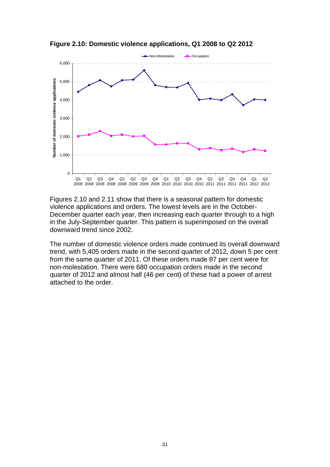

**Figure 2.10: Domestic violence applications, Q1 2008 to Q2 2012** 

Figures 2.10 and 2.11 show that there is a seasonal pattern for domestic violence applications and orders. The lowest levels are in the October-December quarter each year, then increasing each quarter through to a high in the July-September quarter. This pattern is superimposed on the overall downward trend since 2002.

The number of domestic violence orders made continued its overall downward trend, with 5,405 orders made in the second quarter of 2012, down 5 per cent from the same quarter of 2011. Of these orders made 87 per cent were for non-molestation. There were 680 occupation orders made in the second quarter of 2012 and almost half (46 per cent) of these had a power of arrest attached to the order.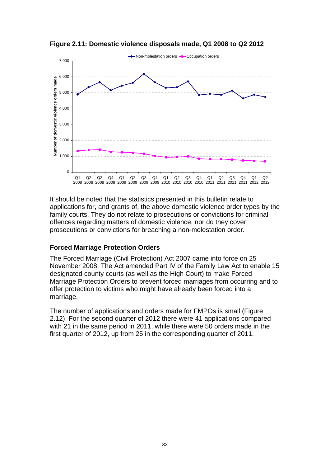

**Figure 2.11: Domestic violence disposals made, Q1 2008 to Q2 2012** 

It should be noted that the statistics presented in this bulletin relate to applications for, and grants of, the above domestic violence order types by the family courts. They do not relate to prosecutions or convictions for criminal offences regarding matters of domestic violence, nor do they cover prosecutions or convictions for breaching a non-molestation order.

#### **Forced Marriage Protection Orders**

The Forced Marriage (Civil Protection) Act 2007 came into force on 25 November 2008. The Act amended Part IV of the Family Law Act to enable 15 designated county courts (as well as the High Court) to make Forced Marriage Protection Orders to prevent forced marriages from occurring and to offer protection to victims who might have already been forced into a marriage.

The number of applications and orders made for FMPOs is small (Figure 2.12). For the second quarter of 2012 there were 41 applications compared with 21 in the same period in 2011, while there were 50 orders made in the first quarter of 2012, up from 25 in the corresponding quarter of 2011.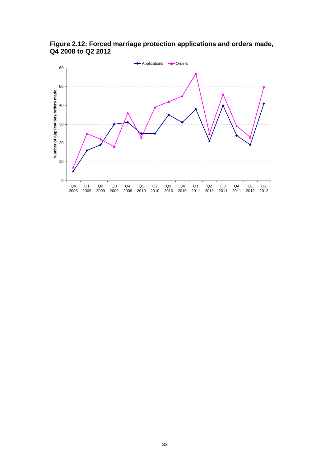

**Figure 2.12: Forced marriage protection applications and orders made, Q4 2008 to Q2 2012**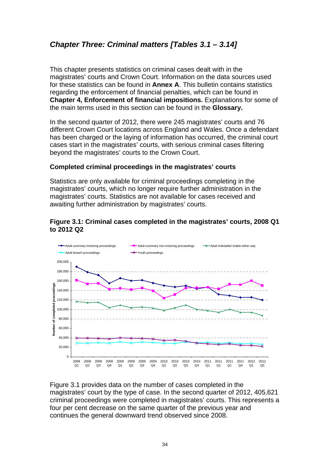### <span id="page-33-0"></span>*Chapter Three: Criminal matters [Tables 3.1 – 3.14]*

This chapter presents statistics on criminal cases dealt with in the magistrates' courts and Crown Court. Information on the data sources used for these statistics can be found in **Annex A**. This bulletin contains statistics regarding the enforcement of financial penalties, which can be found in **Chapter 4, Enforcement of financial impositions.** Explanations for some of the main terms used in this section can be found in the **Glossary.**

In the second quarter of 2012, there were 245 magistrates' courts and 76 different Crown Court locations across England and Wales. Once a defendant has been charged or the laying of information has occurred, the criminal court cases start in the magistrates' courts, with serious criminal cases filtering beyond the magistrates' courts to the Crown Court.

#### **Completed criminal proceedings in the magistrates' courts**

Statistics are only available for criminal proceedings completing in the magistrates' courts, which no longer require further administration in the magistrates' courts. Statistics are not available for cases received and awaiting further administration by magistrates' courts.

#### **Figure 3.1: Criminal cases completed in the magistrates' courts, 2008 Q1 to 2012 Q2**



Figure 3.1 provides data on the number of cases completed in the magistrates' court by the type of case. In the second quarter of 2012, 405,621 criminal proceedings were completed in magistrates' courts. This represents a four per cent decrease on the same quarter of the previous year and continues the general downward trend observed since 2008.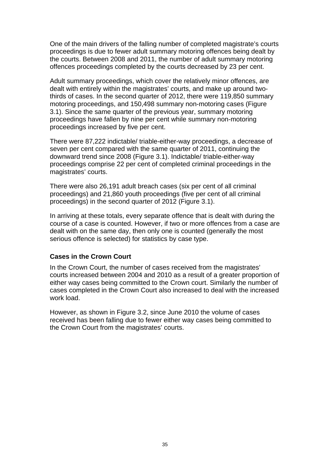One of the main drivers of the falling number of completed magistrate's courts proceedings is due to fewer adult summary motoring offences being dealt by the courts. Between 2008 and 2011, the number of adult summary motoring offences proceedings completed by the courts decreased by 23 per cent.

Adult summary proceedings, which cover the relatively minor offences, are dealt with entirely within the magistrates' courts, and make up around twothirds of cases. In the second quarter of 2012, there were 119,850 summary motoring proceedings, and 150,498 summary non-motoring cases (Figure 3.1). Since the same quarter of the previous year, summary motoring proceedings have fallen by nine per cent while summary non-motoring proceedings increased by five per cent.

There were 87,222 indictable/ triable-either-way proceedings, a decrease of seven per cent compared with the same quarter of 2011, continuing the downward trend since 2008 (Figure 3.1). Indictable/ triable-either-way proceedings comprise 22 per cent of completed criminal proceedings in the magistrates' courts.

There were also 26,191 adult breach cases (six per cent of all criminal proceedings) and 21,860 youth proceedings (five per cent of all criminal proceedings) in the second quarter of 2012 (Figure 3.1).

In arriving at these totals, every separate offence that is dealt with during the course of a case is counted. However, if two or more offences from a case are dealt with on the same day, then only one is counted (generally the most serious offence is selected) for statistics by case type.

#### **Cases in the Crown Court**

In the Crown Court, the number of cases received from the magistrates' courts increased between 2004 and 2010 as a result of a greater proportion of either way cases being committed to the Crown court. Similarly the number of cases completed in the Crown Court also increased to deal with the increased work load.

However, as shown in Figure 3.2, since June 2010 the volume of cases received has been falling due to fewer either way cases being committed to the Crown Court from the magistrates' courts.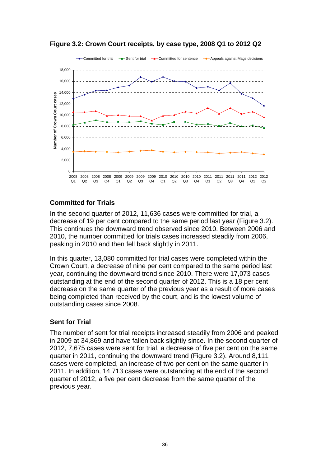

**Figure 3.2: Crown Court receipts, by case type, 2008 Q1 to 2012 Q2** 

#### **Committed for Trials**

In the second quarter of 2012, 11,636 cases were committed for trial, a decrease of 19 per cent compared to the same period last year (Figure 3.2). This continues the downward trend observed since 2010. Between 2006 and 2010, the number committed for trials cases increased steadily from 2006, peaking in 2010 and then fell back slightly in 2011.

In this quarter, 13,080 committed for trial cases were completed within the Crown Court, a decrease of nine per cent compared to the same period last year, continuing the downward trend since 2010. There were 17,073 cases outstanding at the end of the second quarter of 2012. This is a 18 per cent decrease on the same quarter of the previous year as a result of more cases being completed than received by the court, and is the lowest volume of outstanding cases since 2008.

#### **Sent for Trial**

The number of sent for trial receipts increased steadily from 2006 and peaked in 2009 at 34,869 and have fallen back slightly since. In the second quarter of 2012, 7,675 cases were sent for trial, a decrease of five per cent on the same quarter in 2011, continuing the downward trend (Figure 3.2). Around 8,111 cases were completed, an increase of two per cent on the same quarter in 2011. In addition, 14,713 cases were outstanding at the end of the second quarter of 2012, a five per cent decrease from the same quarter of the previous year.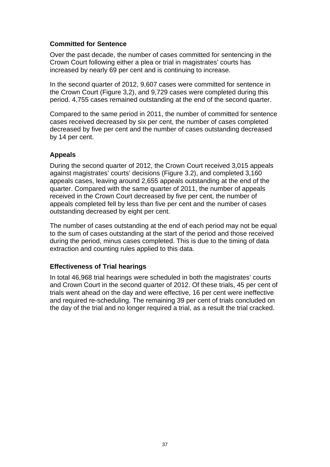## **Committed for Sentence**

Over the past decade, the number of cases committed for sentencing in the Crown Court following either a plea or trial in magistrates' courts has increased by nearly 69 per cent and is continuing to increase.

In the second quarter of 2012, 9,607 cases were committed for sentence in the Crown Court (Figure 3,2), and 9,729 cases were completed during this period. 4,755 cases remained outstanding at the end of the second quarter.

Compared to the same period in 2011, the number of committed for sentence cases received decreased by six per cent, the number of cases completed decreased by five per cent and the number of cases outstanding decreased by 14 per cent.

## **Appeals**

During the second quarter of 2012, the Crown Court received 3,015 appeals against magistrates' courts' decisions (Figure 3.2), and completed 3,160 appeals cases, leaving around 2,655 appeals outstanding at the end of the quarter. Compared with the same quarter of 2011, the number of appeals received in the Crown Court decreased by five per cent, the number of appeals completed fell by less than five per cent and the number of cases outstanding decreased by eight per cent.

The number of cases outstanding at the end of each period may not be equal to the sum of cases outstanding at the start of the period and those received during the period, minus cases completed. This is due to the timing of data extraction and counting rules applied to this data.

## **Effectiveness of Trial hearings**

In total 46,968 trial hearings were scheduled in both the magistrates' courts and Crown Court in the second quarter of 2012. Of these trials, 45 per cent of trials went ahead on the day and were effective, 16 per cent were ineffective and required re-scheduling. The remaining 39 per cent of trials concluded on the day of the trial and no longer required a trial, as a result the trial cracked.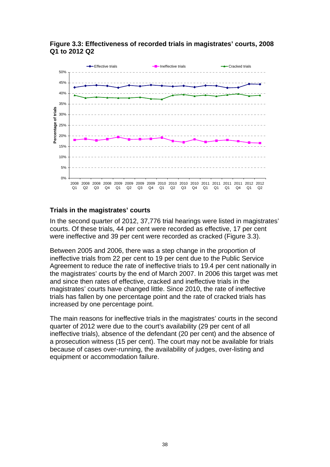

#### **Figure 3.3: Effectiveness of recorded trials in magistrates' courts, 2008 Q1 to 2012 Q2**

## **Trials in the magistrates' courts**

In the second quarter of 2012, 37,776 trial hearings were listed in magistrates' courts. Of these trials, 44 per cent were recorded as effective, 17 per cent were ineffective and 39 per cent were recorded as cracked (Figure 3.3).

Between 2005 and 2006, there was a step change in the proportion of ineffective trials from 22 per cent to 19 per cent due to the Public Service Agreement to reduce the rate of ineffective trials to 19.4 per cent nationally in the magistrates' courts by the end of March 2007. In 2006 this target was met and since then rates of effective, cracked and ineffective trials in the magistrates' courts have changed little. Since 2010, the rate of ineffective trials has fallen by one percentage point and the rate of cracked trials has increased by one percentage point.

The main reasons for ineffective trials in the magistrates' courts in the second quarter of 2012 were due to the court's availability (29 per cent of all ineffective trials), absence of the defendant (20 per cent) and the absence of a prosecution witness (15 per cent). The court may not be available for trials because of cases over-running, the availability of judges, over-listing and equipment or accommodation failure.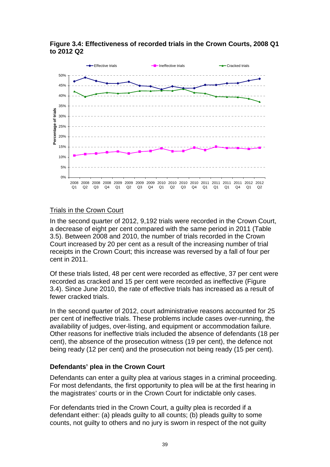

**Figure 3.4: Effectiveness of recorded trials in the Crown Courts, 2008 Q1 to 2012 Q2** 

#### Trials in the Crown Court

In the second quarter of 2012, 9,192 trials were recorded in the Crown Court, a decrease of eight per cent compared with the same period in 2011 (Table 3.5). Between 2008 and 2010, the number of trials recorded in the Crown Court increased by 20 per cent as a result of the increasing number of trial receipts in the Crown Court; this increase was reversed by a fall of four per cent in 2011.

Of these trials listed, 48 per cent were recorded as effective, 37 per cent were recorded as cracked and 15 per cent were recorded as ineffective (Figure 3.4). Since June 2010, the rate of effective trials has increased as a result of fewer cracked trials.

In the second quarter of 2012, court administrative reasons accounted for 25 per cent of ineffective trials. These problems include cases over-running, the availability of judges, over-listing, and equipment or accommodation failure. Other reasons for ineffective trials included the absence of defendants (18 per cent), the absence of the prosecution witness (19 per cent), the defence not being ready (12 per cent) and the prosecution not being ready (15 per cent).

#### **Defendants' plea in the Crown Court**

Defendants can enter a guilty plea at various stages in a criminal proceeding. For most defendants, the first opportunity to plea will be at the first hearing in the magistrates' courts or in the Crown Court for indictable only cases.

For defendants tried in the Crown Court, a guilty plea is recorded if a defendant either: (a) pleads guilty to all counts; (b) pleads guilty to some counts, not guilty to others and no jury is sworn in respect of the not guilty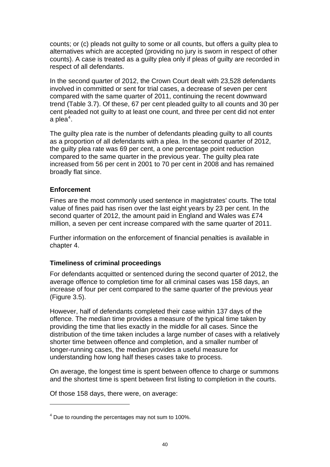counts; or (c) pleads not guilty to some or all counts, but offers a guilty plea to alternatives which are accepted (providing no jury is sworn in respect of other counts). A case is treated as a guilty plea only if pleas of guilty are recorded in respect of all defendants.

In the second quarter of 2012, the Crown Court dealt with 23,528 defendants involved in committed or sent for trial cases, a decrease of seven per cent compared with the same quarter of 2011, continuing the recent downward trend (Table 3.7). Of these, 67 per cent pleaded guilty to all counts and 30 per cent pleaded not guilty to at least one count, and three per cent did not enter a plea $4$ .

The guilty plea rate is the number of defendants pleading guilty to all counts as a proportion of all defendants with a plea. In the second quarter of 2012, the guilty plea rate was 69 per cent, a one percentage point reduction compared to the same quarter in the previous year. The guilty plea rate increased from 56 per cent in 2001 to 70 per cent in 2008 and has remained broadly flat since.

### **Enforcement**

1

Fines are the most commonly used sentence in magistrates' courts. The total value of fines paid has risen over the last eight years by 23 per cent. In the second quarter of 2012, the amount paid in England and Wales was £74 million, a seven per cent increase compared with the same quarter of 2011.

Further information on the enforcement of financial penalties is available in chapter 4.

#### **Timeliness of criminal proceedings**

For defendants acquitted or sentenced during the second quarter of 2012, the average offence to completion time for all criminal cases was 158 days, an increase of four per cent compared to the same quarter of the previous year (Figure 3.5).

However, half of defendants completed their case within 137 days of the offence. The median time provides a measure of the typical time taken by providing the time that lies exactly in the middle for all cases. Since the distribution of the time taken includes a large number of cases with a relatively shorter time between offence and completion, and a smaller number of longer-running cases, the median provides a useful measure for understanding how long half theses cases take to process.

On average, the longest time is spent between offence to charge or summons and the shortest time is spent between first listing to completion in the courts.

Of those 158 days, there were, on average:

<span id="page-39-0"></span> $4$  Due to rounding the percentages may not sum to 100%.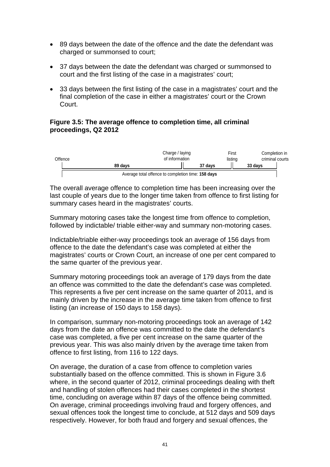- 89 days between the date of the offence and the date the defendant was charged or summonsed to court;
- 37 days between the date the defendant was charged or summonsed to court and the first listing of the case in a magistrates' court;
- 33 days between the first listing of the case in a magistrates' court and the final completion of the case in either a magistrates' court or the Crown Court.

#### **Figure 3.5: The average offence to completion time, all criminal proceedings, Q2 2012**



The overall average offence to completion time has been increasing over the last couple of years due to the longer time taken from offence to first listing for summary cases heard in the magistrates' courts.

Summary motoring cases take the longest time from offence to completion, followed by indictable/ triable either-way and summary non-motoring cases.

Indictable/triable either-way proceedings took an average of 156 days from offence to the date the defendant's case was completed at either the magistrates' courts or Crown Court, an increase of one per cent compared to the same quarter of the previous year.

Summary motoring proceedings took an average of 179 days from the date an offence was committed to the date the defendant's case was completed. This represents a five per cent increase on the same quarter of 2011, and is mainly driven by the increase in the average time taken from offence to first listing (an increase of 150 days to 158 days).

In comparison, summary non-motoring proceedings took an average of 142 days from the date an offence was committed to the date the defendant's case was completed, a five per cent increase on the same quarter of the previous year. This was also mainly driven by the average time taken from offence to first listing, from 116 to 122 days.

On average, the duration of a case from offence to completion varies substantially based on the offence committed. This is shown in Figure 3.6 where, in the second quarter of 2012, criminal proceedings dealing with theft and handling of stolen offences had their cases completed in the shortest time, concluding on average within 87 days of the offence being committed. On average, criminal proceedings involving fraud and forgery offences, and sexual offences took the longest time to conclude, at 512 days and 509 days respectively. However, for both fraud and forgery and sexual offences, the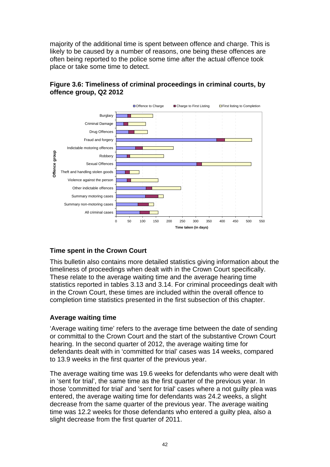majority of the additional time is spent between offence and charge. This is likely to be caused by a number of reasons, one being these offences are often being reported to the police some time after the actual offence took place or take some time to detect.



## **Figure 3.6: Timeliness of criminal proceedings in criminal courts, by offence group, Q2 2012**

## **Time spent in the Crown Court**

This bulletin also contains more detailed statistics giving information about the timeliness of proceedings when dealt with in the Crown Court specifically. These relate to the average waiting time and the average hearing time statistics reported in tables 3.13 and 3.14. For criminal proceedings dealt with in the Crown Court, these times are included within the overall offence to completion time statistics presented in the first subsection of this chapter.

## **Average waiting time**

'Average waiting time' refers to the average time between the date of sending or committal to the Crown Court and the start of the substantive Crown Court hearing. In the second quarter of 2012, the average waiting time for defendants dealt with in 'committed for trial' cases was 14 weeks, compared to 13.9 weeks in the first quarter of the previous year.

The average waiting time was 19.6 weeks for defendants who were dealt with in 'sent for trial', the same time as the first quarter of the previous year. In those 'committed for trial' and 'sent for trial' cases where a not guilty plea was entered, the average waiting time for defendants was 24.2 weeks, a slight decrease from the same quarter of the previous year. The average waiting time was 12.2 weeks for those defendants who entered a guilty plea, also a slight decrease from the first quarter of 2011.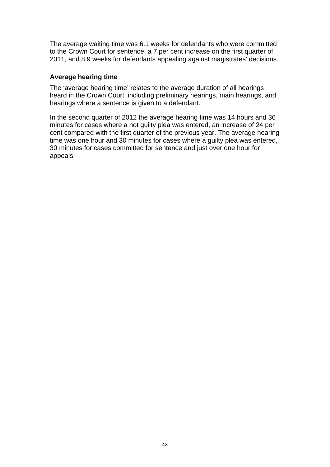The average waiting time was 6.1 weeks for defendants who were committed to the Crown Court for sentence, a 7 per cent increase on the first quarter of 2011, and 8.9 weeks for defendants appealing against magistrates' decisions.

#### **Average hearing time**

The 'average hearing time' relates to the average duration of all hearings heard in the Crown Court, including preliminary hearings, main hearings, and hearings where a sentence is given to a defendant.

In the second quarter of 2012 the average hearing time was 14 hours and 36 minutes for cases where a not guilty plea was entered, an increase of 24 per cent compared with the first quarter of the previous year. The average hearing time was one hour and 30 minutes for cases where a guilty plea was entered, 30 minutes for cases committed for sentence and just over one hour for appeals.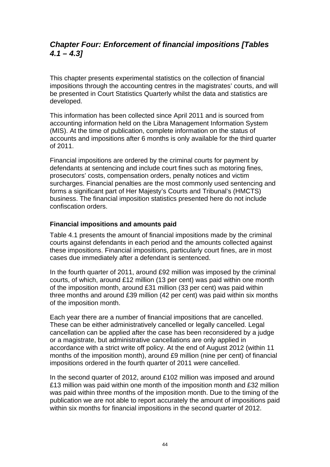## *Chapter Four: Enforcement of financial impositions [Tables 4.1 – 4.3]*

This chapter presents experimental statistics on the collection of financial impositions through the accounting centres in the magistrates' courts, and will be presented in Court Statistics Quarterly whilst the data and statistics are developed.

This information has been collected since April 2011 and is sourced from accounting information held on the Libra Management Information System (MIS). At the time of publication, complete information on the status of accounts and impositions after 6 months is only available for the third quarter of 2011.

Financial impositions are ordered by the criminal courts for payment by defendants at sentencing and include court fines such as motoring fines, prosecutors' costs, compensation orders, penalty notices and victim surcharges. Financial penalties are the most commonly used sentencing and forms a significant part of Her Majesty's Courts and Tribunal's (HMCTS) business. The financial imposition statistics presented here do not include confiscation orders.

#### **Financial impositions and amounts paid**

Table 4.1 presents the amount of financial impositions made by the criminal courts against defendants in each period and the amounts collected against these impositions. Financial impositions, particularly court fines, are in most cases due immediately after a defendant is sentenced.

In the fourth quarter of 2011, around £92 million was imposed by the criminal courts, of which, around £12 million (13 per cent) was paid within one month of the imposition month, around £31 million (33 per cent) was paid within three months and around £39 million (42 per cent) was paid within six months of the imposition month.

Each year there are a number of financial impositions that are cancelled. These can be either administratively cancelled or legally cancelled. Legal cancellation can be applied after the case has been reconsidered by a judge or a magistrate, but administrative cancellations are only applied in accordance with a strict write off policy. At the end of August 2012 (within 11 months of the imposition month), around £9 million (nine per cent) of financial impositions ordered in the fourth quarter of 2011 were cancelled.

In the second quarter of 2012, around £102 million was imposed and around £13 million was paid within one month of the imposition month and £32 million was paid within three months of the imposition month. Due to the timing of the publication we are not able to report accurately the amount of impositions paid within six months for financial impositions in the second quarter of 2012.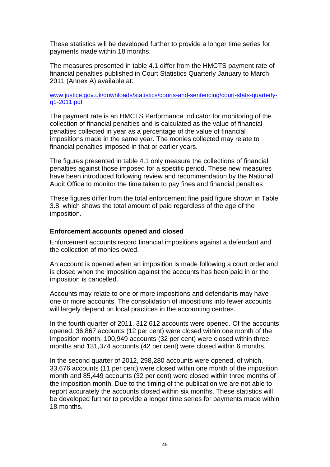These statistics will be developed further to provide a longer time series for payments made within 18 months.

The measures presented in table 4.1 differ from the HMCTS payment rate of financial penalties published in Court Statistics Quarterly January to March 2011 (Annex A) available at:

#### [www.justice.gov.uk/downloads/statistics/courts-and-sentencing/court-stats-quarterly](http://www.justice.gov.uk/downloads/statistics/courts-and-sentencing/court-stats-quarterly-q1-2011.pdf)[q1-2011.pdf](http://www.justice.gov.uk/downloads/statistics/courts-and-sentencing/court-stats-quarterly-q1-2011.pdf)

The payment rate is an HMCTS Performance Indicator for monitoring of the collection of financial penalties and is calculated as the value of financial penalties collected in year as a percentage of the value of financial impositions made in the same year. The monies collected may relate to financial penalties imposed in that or earlier years.

The figures presented in table 4.1 only measure the collections of financial penalties against those imposed for a specific period. These new measures have been introduced following review and recommendation by the National Audit Office to monitor the time taken to pay fines and financial penalties

These figures differ from the total enforcement fine paid figure shown in Table 3.8, which shows the total amount of paid regardless of the age of the imposition.

#### **Enforcement accounts opened and closed**

Enforcement accounts record financial impositions against a defendant and the collection of monies owed.

An account is opened when an imposition is made following a court order and is closed when the imposition against the accounts has been paid in or the imposition is cancelled.

Accounts may relate to one or more impositions and defendants may have one or more accounts. The consolidation of impositions into fewer accounts will largely depend on local practices in the accounting centres.

In the fourth quarter of 2011, 312,612 accounts were opened. Of the accounts opened, 36,867 accounts (12 per cent) were closed within one month of the imposition month, 100,949 accounts (32 per cent) were closed within three months and 131,374 accounts (42 per cent) were closed within 6 months.

In the second quarter of 2012, 298,280 accounts were opened, of which, 33,676 accounts (11 per cent) were closed within one month of the imposition month and 85,449 accounts (32 per cent) were closed within three months of the imposition month. Due to the timing of the publication we are not able to report accurately the accounts closed within six months. These statistics will be developed further to provide a longer time series for payments made within 18 months.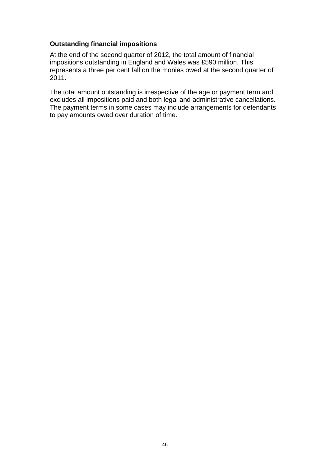#### **Outstanding financial impositions**

At the end of the second quarter of 2012, the total amount of financial impositions outstanding in England and Wales was £590 million. This represents a three per cent fall on the monies owed at the second quarter of 2011.

The total amount outstanding is irrespective of the age or payment term and excludes all impositions paid and both legal and administrative cancellations. The payment terms in some cases may include arrangements for defendants to pay amounts owed over duration of time.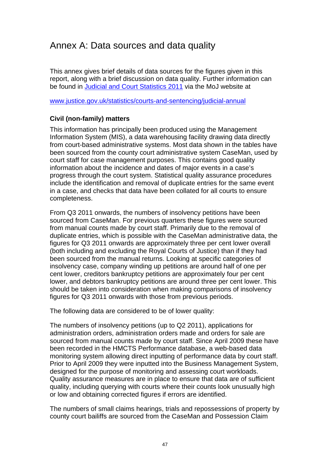## Annex A: Data sources and data quality

This annex gives brief details of data sources for the figures given in this report, along with a brief discussion on data quality. Further information can be found in [Judicial and Court Statistics 2011](http://www.justice.gov.uk/downloads/statistics/courts-and-sentencing/jcs-2011/judicial-court-stats-2011.pdf) via the MoJ website at

[www.justice.gov.uk/statistics/courts-and-sentencing/judicial-annual](http://www.justice.gov.uk/statistics/courts-and-sentencing/judicial-annual)

#### **Civil (non-family) matters**

This information has principally been produced using the Management Information System (MIS), a data warehousing facility drawing data directly from court-based administrative systems. Most data shown in the tables have been sourced from the county court administrative system CaseMan, used by court staff for case management purposes. This contains good quality information about the incidence and dates of major events in a case's progress through the court system. Statistical quality assurance procedures include the identification and removal of duplicate entries for the same event in a case, and checks that data have been collated for all courts to ensure completeness.

From Q3 2011 onwards, the numbers of insolvency petitions have been sourced from CaseMan. For previous quarters these figures were sourced from manual counts made by court staff. Primarily due to the removal of duplicate entries, which is possible with the CaseMan administrative data, the figures for Q3 2011 onwards are approximately three per cent lower overall (both including and excluding the Royal Courts of Justice) than if they had been sourced from the manual returns. Looking at specific categories of insolvency case, company winding up petitions are around half of one per cent lower, creditors bankruptcy petitions are approximately four per cent lower, and debtors bankruptcy petitions are around three per cent lower. This should be taken into consideration when making comparisons of insolvency figures for Q3 2011 onwards with those from previous periods.

The following data are considered to be of lower quality:

The numbers of insolvency petitions (up to Q2 2011), applications for administration orders, administration orders made and orders for sale are sourced from manual counts made by court staff. Since April 2009 these have been recorded in the HMCTS Performance database, a web-based data monitoring system allowing direct inputting of performance data by court staff. Prior to April 2009 they were inputted into the Business Management System, designed for the purpose of monitoring and assessing court workloads. Quality assurance measures are in place to ensure that data are of sufficient quality, including querying with courts where their counts look unusually high or low and obtaining corrected figures if errors are identified.

The numbers of small claims hearings, trials and repossessions of property by county court bailiffs are sourced from the CaseMan and Possession Claim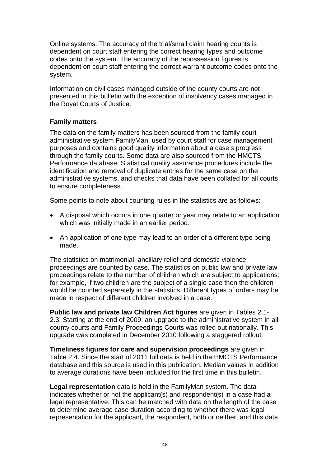Online systems. The accuracy of the trial/small claim hearing counts is dependent on court staff entering the correct hearing types and outcome codes onto the system. The accuracy of the repossession figures is dependent on court staff entering the correct warrant outcome codes onto the system.

Information on civil cases managed outside of the county courts are not presented in this bulletin with the exception of insolvency cases managed in the Royal Courts of Justice.

### **Family matters**

The data on the family matters has been sourced from the family court administrative system FamilyMan, used by court staff for case management purposes and contains good quality information about a case's progress through the family courts. Some data are also sourced from the HMCTS Performance database. Statistical quality assurance procedures include the identification and removal of duplicate entries for the same case on the administrative systems, and checks that data have been collated for all courts to ensure completeness.

Some points to note about counting rules in the statistics are as follows:

- A disposal which occurs in one quarter or year may relate to an application which was initially made in an earlier period.
- An application of one type may lead to an order of a different type being made.

The statistics on matrimonial, ancillary relief and domestic violence proceedings are counted by case. The statistics on public law and private law proceedings relate to the number of children which are subject to applications: for example, if two children are the subject of a single case then the children would be counted separately in the statistics. Different types of orders may be made in respect of different children involved in a case.

**Public law and private law Children Act figures** are given in Tables 2.1- 2.3. Starting at the end of 2009, an upgrade to the administrative system in all county courts and Family Proceedings Courts was rolled out nationally. This upgrade was completed in December 2010 following a staggered rollout.

**Timeliness figures for care and supervision proceedings** are given in Table 2.4. Since the start of 2011 full data is held in the HMCTS Performance database and this source is used in this publication. Median values in addition to average durations have been included for the first time in this bulletin.

**Legal representation** data is held in the FamilyMan system. The data indicates whether or not the applicant(s) and respondent(s) in a case had a legal representative. This can be matched with data on the length of the case to determine average case duration according to whether there was legal representation for the applicant, the respondent, both or neither, and this data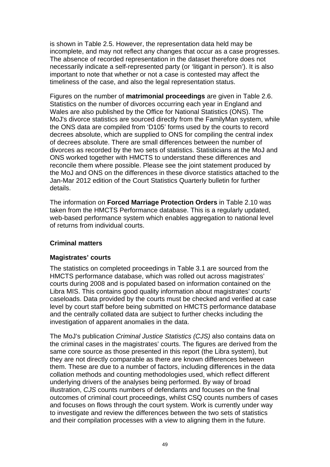is shown in Table 2.5. However, the representation data held may be incomplete, and may not reflect any changes that occur as a case progresses. The absence of recorded representation in the dataset therefore does not necessarily indicate a self-represented party (or 'litigant in person'). It is also important to note that whether or not a case is contested may affect the timeliness of the case, and also the legal representation status.

Figures on the number of **matrimonial proceedings** are given in Table 2.6. Statistics on the number of divorces occurring each year in England and Wales are also published by the Office for National Statistics (ONS). The MoJ's divorce statistics are sourced directly from the FamilyMan system, while the ONS data are compiled from 'D105' forms used by the courts to record decrees absolute, which are supplied to ONS for compiling the central index of decrees absolute. There are small differences between the number of divorces as recorded by the two sets of statistics. Statisticians at the MoJ and ONS worked together with HMCTS to understand these differences and reconcile them where possible. Please see the joint statement produced by the MoJ and ONS on the differences in these divorce statistics attached to the Jan-Mar 2012 edition of the Court Statistics Quarterly bulletin for further details.

The information on **Forced Marriage Protection Orders** in Table 2.10 was taken from the HMCTS Performance database. This is a regularly updated, web-based performance system which enables aggregation to national level of returns from individual courts.

## **Criminal matters**

## **Magistrates' courts**

The statistics on completed proceedings in Table 3.1 are sourced from the HMCTS performance database, which was rolled out across magistrates' courts during 2008 and is populated based on information contained on the Libra MIS. This contains good quality information about magistrates' courts' caseloads. Data provided by the courts must be checked and verified at case level by court staff before being submitted on HMCTS performance database and the centrally collated data are subject to further checks including the investigation of apparent anomalies in the data.

The MoJ's publication *Criminal Justice Statistics (CJS)* also contains data on the criminal cases in the magistrates' courts. The figures are derived from the same core source as those presented in this report (the Libra system), but they are not directly comparable as there are known differences between them. These are due to a number of factors, including differences in the data collation methods and counting methodologies used, which reflect different underlying drivers of the analyses being performed. By way of broad illustration, *CJS* counts numbers of defendants and focuses on the final outcomes of criminal court proceedings, whilst CSQ counts numbers of cases and focuses on flows through the court system. Work is currently under way to investigate and review the differences between the two sets of statistics and their compilation processes with a view to aligning them in the future.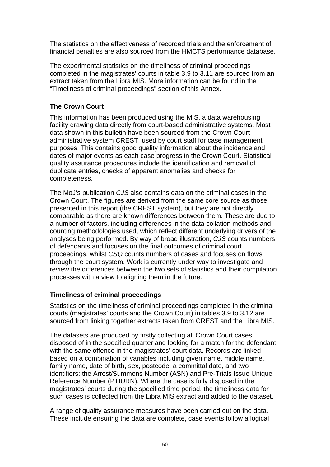The statistics on the effectiveness of recorded trials and the enforcement of financial penalties are also sourced from the HMCTS performance database.

The experimental statistics on the timeliness of criminal proceedings completed in the magistrates' courts in table 3.9 to 3.11 are sourced from an extract taken from the Libra MIS. More information can be found in the "Timeliness of criminal proceedings" section of this Annex.

## **The Crown Court**

This information has been produced using the MIS, a data warehousing facility drawing data directly from court-based administrative systems. Most data shown in this bulletin have been sourced from the Crown Court administrative system CREST, used by court staff for case management purposes. This contains good quality information about the incidence and dates of major events as each case progress in the Crown Court. Statistical quality assurance procedures include the identification and removal of duplicate entries, checks of apparent anomalies and checks for completeness.

The MoJ's publication *CJS* also contains data on the criminal cases in the Crown Court. The figures are derived from the same core source as those presented in this report (the CREST system), but they are not directly comparable as there are known differences between them. These are due to a number of factors, including differences in the data collation methods and counting methodologies used, which reflect different underlying drivers of the analyses being performed. By way of broad illustration, *CJS* counts numbers of defendants and focuses on the final outcomes of criminal court proceedings, whilst *CSQ* counts numbers of cases and focuses on flows through the court system. Work is currently under way to investigate and review the differences between the two sets of statistics and their compilation processes with a view to aligning them in the future.

## **Timeliness of criminal proceedings**

Statistics on the timeliness of criminal proceedings completed in the criminal courts (magistrates' courts and the Crown Court) in tables 3.9 to 3.12 are sourced from linking together extracts taken from CREST and the Libra MIS.

The datasets are produced by firstly collecting all Crown Court cases disposed of in the specified quarter and looking for a match for the defendant with the same offence in the magistrates' court data. Records are linked based on a combination of variables including given name, middle name, family name, date of birth, sex, postcode, a committal date, and two identifiers: the Arrest/Summons Number (ASN) and Pre-Trials Issue Unique Reference Number (PTIURN). Where the case is fully disposed in the magistrates' courts during the specified time period, the timeliness data for such cases is collected from the Libra MIS extract and added to the dataset.

A range of quality assurance measures have been carried out on the data. These include ensuring the data are complete, case events follow a logical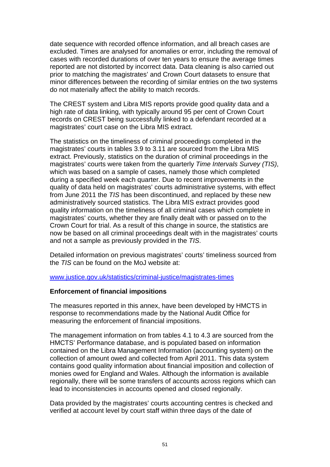date sequence with recorded offence information, and all breach cases are excluded. Times are analysed for anomalies or error, including the removal of cases with recorded durations of over ten years to ensure the average times reported are not distorted by incorrect data. Data cleaning is also carried out prior to matching the magistrates' and Crown Court datasets to ensure that minor differences between the recording of similar entries on the two systems do not materially affect the ability to match records.

The CREST system and Libra MIS reports provide good quality data and a high rate of data linking, with typically around 95 per cent of Crown Court records on CREST being successfully linked to a defendant recorded at a magistrates' court case on the Libra MIS extract.

The statistics on the timeliness of criminal proceedings completed in the magistrates' courts in tables 3.9 to 3.11 are sourced from the Libra MIS extract. Previously, statistics on the duration of criminal proceedings in the magistrates' courts were taken from the quarterly *Time Intervals Survey (TIS)*, which was based on a sample of cases, namely those which completed during a specified week each quarter. Due to recent improvements in the quality of data held on magistrates' courts administrative systems, with effect from June 2011 the *TIS* has been discontinued, and replaced by these new administratively sourced statistics. The Libra MIS extract provides good quality information on the timeliness of all criminal cases which complete in magistrates' courts, whether they are finally dealt with or passed on to the Crown Court for trial. As a result of this change in source, the statistics are now be based on all criminal proceedings dealt with in the magistrates' courts and not a sample as previously provided in the *TIS*.

Detailed information on previous magistrates' courts' timeliness sourced from the *TIS* can be found on the MoJ website at:

[www.justice.gov.uk/statistics/criminal-justice/magistrates-times](http://www.justice.gov.uk/statistics/criminal-justice/magistrates-times)

#### **Enforcement of financial impositions**

The measures reported in this annex, have been developed by HMCTS in response to recommendations made by the National Audit Office for measuring the enforcement of financial impositions.

The management information on from tables 4.1 to 4.3 are sourced from the HMCTS' Performance database, and is populated based on information contained on the Libra Management Information (accounting system) on the collection of amount owed and collected from April 2011. This data system contains good quality information about financial imposition and collection of monies owed for England and Wales. Although the information is available regionally, there will be some transfers of accounts across regions which can lead to inconsistencies in accounts opened and closed regionally.

Data provided by the magistrates' courts accounting centres is checked and verified at account level by court staff within three days of the date of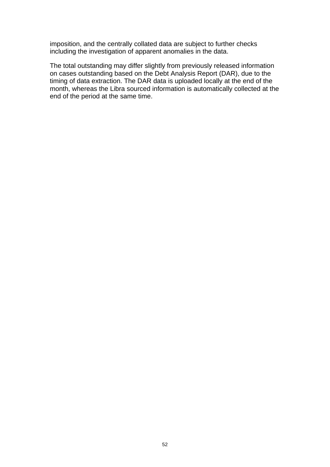imposition, and the centrally collated data are subject to further checks including the investigation of apparent anomalies in the data.

The total outstanding may differ slightly from previously released information on cases outstanding based on the Debt Analysis Report (DAR), due to the timing of data extraction. The DAR data is uploaded locally at the end of the month, whereas the Libra sourced information is automatically collected at the end of the period at the same time.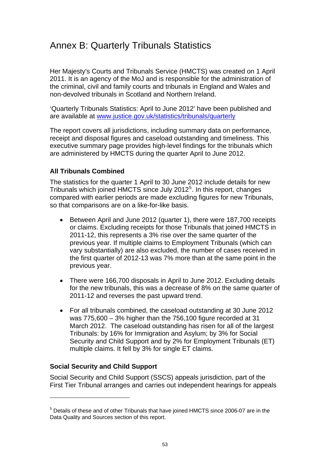# Annex B: Quarterly Tribunals Statistics

Her Majesty's Courts and Tribunals Service (HMCTS) was created on 1 April 2011. It is an agency of the MoJ and is responsible for the administration of the criminal, civil and family courts and tribunals in England and Wales and non-devolved tribunals in Scotland and Northern Ireland.

'Quarterly Tribunals Statistics: April to June 2012' have been published and are available at [www.justice.gov.uk/statistics/tribunals/quarterly](http://www.justice.gov.uk/statistics/tribunals/quarterly)

The report covers all jurisdictions, including summary data on performance, receipt and disposal figures and caseload outstanding and timeliness. This executive summary page provides high-level findings for the tribunals which are administered by HMCTS during the quarter April to June 2012.

### **All Tribunals Combined**

The statistics for the quarter 1 April to 30 June 2012 include details for new Tribunals which joined HMCTS since July 2012<sup>[5](#page-52-0)</sup>. In this report, changes compared with earlier periods are made excluding figures for new Tribunals, so that comparisons are on a like-for-like basis.

- Between April and June 2012 (quarter 1), there were 187,700 receipts or claims. Excluding receipts for those Tribunals that joined HMCTS in 2011-12, this represents a 3% rise over the same quarter of the previous year. If multiple claims to Employment Tribunals (which can vary substantially) are also excluded, the number of cases received in the first quarter of 2012-13 was 7% more than at the same point in the previous year.
- There were 166,700 disposals in April to June 2012. Excluding details for the new tribunals, this was a decrease of 8% on the same quarter of 2011-12 and reverses the past upward trend.
- For all tribunals combined, the caseload outstanding at 30 June 2012 was 775,600 – 3% higher than the 756,100 figure recorded at 31 March 2012. The caseload outstanding has risen for all of the largest Tribunals: by 16% for Immigration and Asylum; by 3% for Social Security and Child Support and by 2% for Employment Tribunals (ET) multiple claims. It fell by 3% for single ET claims.

## **Social Security and Child Support**

1

Social Security and Child Support (SSCS) appeals jurisdiction, part of the First Tier Tribunal arranges and carries out independent hearings for appeals

<span id="page-52-0"></span><sup>&</sup>lt;sup>5</sup> Details of these and of other Tribunals that have joined HMCTS since 2006-07 are in the Data Quality and Sources section of this report.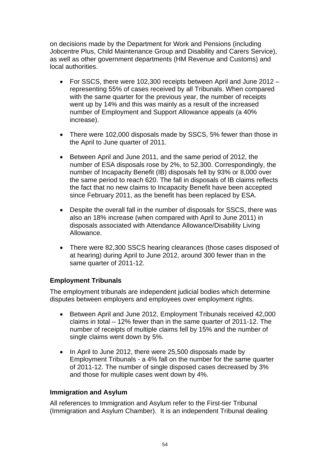on decisions made by the Department for Work and Pensions (including Jobcentre Plus, Child Maintenance Group and Disability and Carers Service), as well as other government departments (HM Revenue and Customs) and local authorities.

- For SSCS, there were 102,300 receipts between April and June 2012 representing 55% of cases received by all Tribunals. When compared with the same quarter for the previous year, the number of receipts went up by 14% and this was mainly as a result of the increased number of Employment and Support Allowance appeals (a 40% increase).
- There were 102,000 disposals made by SSCS, 5% fewer than those in the April to June quarter of 2011.
- Between April and June 2011, and the same period of 2012, the number of ESA disposals rose by 2%, to 52,300. Correspondingly, the number of Incapacity Benefit (IB) disposals fell by 93% or 8,000 over the same period to reach 620. The fall in disposals of IB claims reflects the fact that no new claims to Incapacity Benefit have been accepted since February 2011, as the benefit has been replaced by ESA.
- Despite the overall fall in the number of disposals for SSCS, there was also an 18% increase (when compared with April to June 2011) in disposals associated with Attendance Allowance/Disability Living Allowance.
- There were 82,300 SSCS hearing clearances (those cases disposed of at hearing) during April to June 2012, around 300 fewer than in the same quarter of 2011-12.

## **Employment Tribunals**

The employment tribunals are independent judicial bodies which determine disputes between employers and employees over employment rights.

- Between April and June 2012, Employment Tribunals received 42,000 claims in total – 12% fewer than in the same quarter of 2011-12. The number of receipts of multiple claims fell by 15% and the number of single claims went down by 5%.
- In April to June 2012, there were 25,500 disposals made by Employment Tribunals - a 4% fall on the number for the same quarter of 2011-12. The number of single disposed cases decreased by 3% and those for multiple cases went down by 4%.

#### **Immigration and Asylum**

All references to Immigration and Asylum refer to the First-tier Tribunal (Immigration and Asylum Chamber). It is an independent Tribunal dealing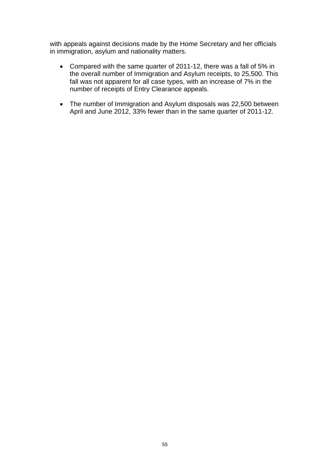with appeals against decisions made by the Home Secretary and her officials in immigration, asylum and nationality matters.

- Compared with the same quarter of 2011-12, there was a fall of 5% in the overall number of Immigration and Asylum receipts, to 25,500. This fall was not apparent for all case types, with an increase of 7% in the number of receipts of Entry Clearance appeals.
- The number of Immigration and Asylum disposals was 22,500 between April and June 2012, 33% fewer than in the same quarter of 2011-12.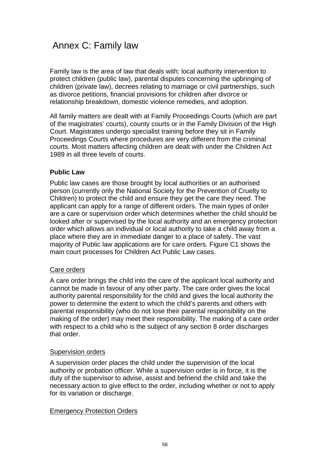# Annex C: Family law

Family law is the area of law that deals with: local authority intervention to protect children (public law), parental disputes concerning the upbringing of children (private law), decrees relating to marriage or civil partnerships, such as divorce petitions, financial provisions for children after divorce or relationship breakdown, domestic violence remedies, and adoption.

All family matters are dealt with at Family Proceedings Courts (which are part of the magistrates' courts), county courts or in the Family Division of the High Court. Magistrates undergo specialist training before they sit in Family Proceedings Courts where procedures are very different from the criminal courts. Most matters affecting children are dealt with under the Children Act 1989 in all three levels of courts.

### **Public Law**

Public law cases are those brought by local authorities or an authorised person (currently only the National Society for the Prevention of Cruelty to Children) to protect the child and ensure they get the care they need. The applicant can apply for a range of different orders. The main types of order are a care or supervision order which determines whether the child should be looked after or supervised by the local authority and an emergency protection order which allows an individual or local authority to take a child away from a place where they are in immediate danger to a place of safety. The vast majority of Public law applications are for care orders. Figure C1 shows the main court processes for Children Act Public Law cases.

#### Care orders

A care order brings the child into the care of the applicant local authority and cannot be made in favour of any other party. The care order gives the local authority parental responsibility for the child and gives the local authority the power to determine the extent to which the child's parents and others with parental responsibility (who do not lose their parental responsibility on the making of the order) may meet their responsibility. The making of a care order with respect to a child who is the subject of any section 8 order discharges that order.

#### Supervision orders

A supervision order places the child under the supervision of the local authority or probation officer. While a supervision order is in force, it is the duty of the supervisor to advise, assist and befriend the child and take the necessary action to give effect to the order, including whether or not to apply for its variation or discharge.

#### Emergency Protection Orders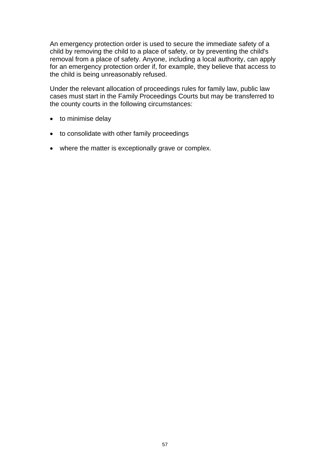An emergency protection order is used to secure the immediate safety of a child by removing the child to a place of safety, or by preventing the child's removal from a place of safety. Anyone, including a local authority, can apply for an emergency protection order if, for example, they believe that access to the child is being unreasonably refused.

Under the relevant allocation of proceedings rules for family law, public law cases must start in the Family Proceedings Courts but may be transferred to the county courts in the following circumstances:

- to minimise delay
- to consolidate with other family proceedings
- where the matter is exceptionally grave or complex.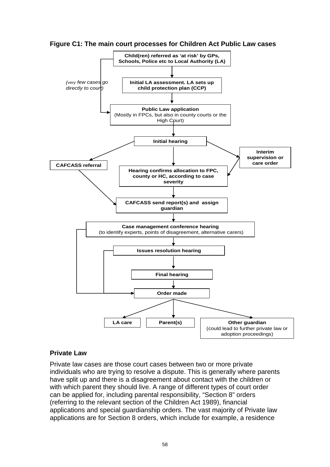



#### **Private Law**

Private law cases are those court cases between two or more private individuals who are trying to resolve a dispute. This is generally where parents have split up and there is a disagreement about contact with the children or with which parent they should live. A range of different types of court order can be applied for, including parental responsibility, "Section 8" orders (referring to the relevant section of the Children Act 1989), financial applications and special guardianship orders. The vast majority of Private law applications are for Section 8 orders, which include for example, a residence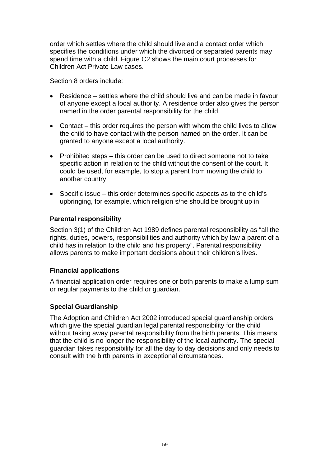order which settles where the child should live and a contact order which specifies the conditions under which the divorced or separated parents may spend time with a child. Figure C2 shows the main court processes for Children Act Private Law cases.

Section 8 orders include:

- Residence settles where the child should live and can be made in favour of anyone except a local authority. A residence order also gives the person named in the order parental responsibility for the child.
- Contact this order requires the person with whom the child lives to allow the child to have contact with the person named on the order. It can be granted to anyone except a local authority.
- Prohibited steps this order can be used to direct someone not to take specific action in relation to the child without the consent of the court. It could be used, for example, to stop a parent from moving the child to another country.
- Specific issue this order determines specific aspects as to the child's upbringing, for example, which religion s/he should be brought up in.

## **Parental responsibility**

Section 3(1) of the Children Act 1989 defines parental responsibility as "all the rights, duties, powers, responsibilities and authority which by law a parent of a child has in relation to the child and his property". Parental responsibility allows parents to make important decisions about their children's lives.

## **Financial applications**

A financial application order requires one or both parents to make a lump sum or regular payments to the child or guardian.

## **Special Guardianship**

The Adoption and Children Act 2002 introduced special guardianship orders, which give the special guardian legal parental responsibility for the child without taking away parental responsibility from the birth parents. This means that the child is no longer the responsibility of the local authority. The special guardian takes responsibility for all the day to day decisions and only needs to consult with the birth parents in exceptional circumstances.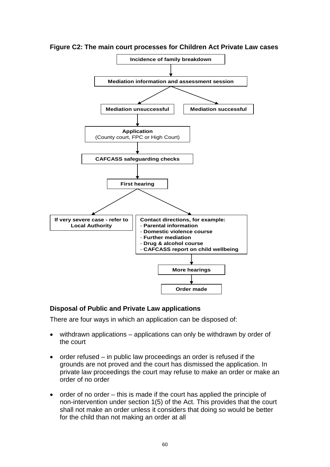

**Figure C2: The main court processes for Children Act Private Law cases** 

#### **Disposal of Public and Private Law applications**

There are four ways in which an application can be disposed of:

- withdrawn applications applications can only be withdrawn by order of the court
- $\bullet$  order refused in public law proceedings an order is refused if the grounds are not proved and the court has dismissed the application. In private law proceedings the court may refuse to make an order or make an order of no order
- $\bullet$  order of no order this is made if the court has applied the principle of non-intervention under section 1(5) of the Act. This provides that the court shall not make an order unless it considers that doing so would be better for the child than not making an order at all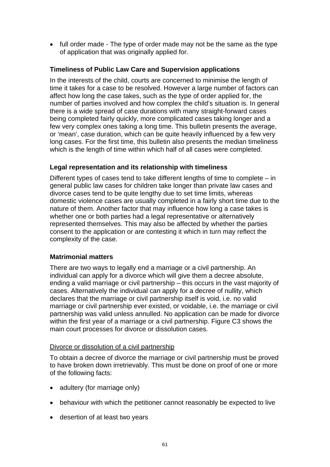• full order made - The type of order made may not be the same as the type of application that was originally applied for.

## **Timeliness of Public Law Care and Supervision applications**

In the interests of the child, courts are concerned to minimise the length of time it takes for a case to be resolved. However a large number of factors can affect how long the case takes, such as the type of order applied for, the number of parties involved and how complex the child's situation is. In general there is a wide spread of case durations with many straight-forward cases being completed fairly quickly, more complicated cases taking longer and a few very complex ones taking a long time. This bulletin presents the average, or 'mean', case duration, which can be quite heavily influenced by a few very long cases. For the first time, this bulletin also presents the median timeliness which is the length of time within which half of all cases were completed.

### **Legal representation and its relationship with timeliness**

Different types of cases tend to take different lengths of time to complete – in general public law cases for children take longer than private law cases and divorce cases tend to be quite lengthy due to set time limits, whereas domestic violence cases are usually completed in a fairly short time due to the nature of them. Another factor that may influence how long a case takes is whether one or both parties had a legal representative or alternatively represented themselves. This may also be affected by whether the parties consent to the application or are contesting it which in turn may reflect the complexity of the case.

#### **Matrimonial matters**

There are two ways to legally end a marriage or a civil partnership. An individual can apply for a divorce which will give them a decree absolute, ending a valid marriage or civil partnership – this occurs in the vast majority of cases. Alternatively the individual can apply for a decree of nullity, which declares that the marriage or civil partnership itself is void, i.e. no valid marriage or civil partnership ever existed, or voidable, i.e. the marriage or civil partnership was valid unless annulled. No application can be made for divorce within the first year of a marriage or a civil partnership. Figure C3 shows the main court processes for divorce or dissolution cases.

#### Divorce or dissolution of a civil partnership

To obtain a decree of divorce the marriage or civil partnership must be proved to have broken down irretrievably. This must be done on proof of one or more of the following facts:

- adultery (for marriage only)
- behaviour with which the petitioner cannot reasonably be expected to live
- desertion of at least two years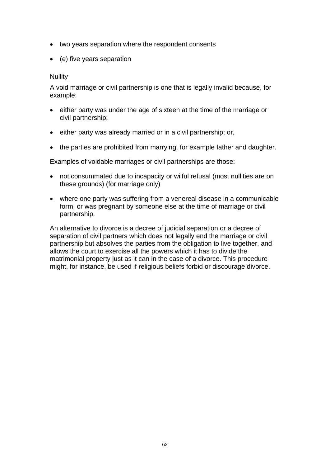- two years separation where the respondent consents
- (e) five years separation

#### **Nullity**

A void marriage or civil partnership is one that is legally invalid because, for example:

- either party was under the age of sixteen at the time of the marriage or civil partnership;
- either party was already married or in a civil partnership; or,
- the parties are prohibited from marrying, for example father and daughter.

Examples of voidable marriages or civil partnerships are those:

- not consummated due to incapacity or wilful refusal (most nullities are on these grounds) (for marriage only)
- where one party was suffering from a venereal disease in a communicable form, or was pregnant by someone else at the time of marriage or civil partnership.

An alternative to divorce is a decree of judicial separation or a decree of separation of civil partners which does not legally end the marriage or civil partnership but absolves the parties from the obligation to live together, and allows the court to exercise all the powers which it has to divide the matrimonial property just as it can in the case of a divorce. This procedure might, for instance, be used if religious beliefs forbid or discourage divorce.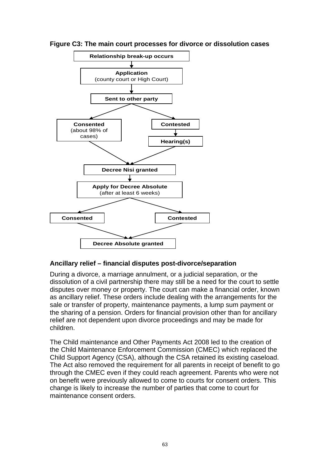



#### **Ancillary relief – financial disputes post-divorce/separation**

During a divorce, a marriage annulment, or a judicial separation, or the dissolution of a civil partnership there may still be a need for the court to settle disputes over money or property. The court can make a financial order, known as ancillary relief. These orders include dealing with the arrangements for the sale or transfer of property, maintenance payments, a lump sum payment or the sharing of a pension. Orders for financial provision other than for ancillary relief are not dependent upon divorce proceedings and may be made for children.

The Child maintenance and Other Payments Act 2008 led to the creation of the Child Maintenance Enforcement Commission (CMEC) which replaced the Child Support Agency (CSA), although the CSA retained its existing caseload. The Act also removed the requirement for all parents in receipt of benefit to go through the CMEC even if they could reach agreement. Parents who were not on benefit were previously allowed to come to courts for consent orders. This change is likely to increase the number of parties that come to court for maintenance consent orders.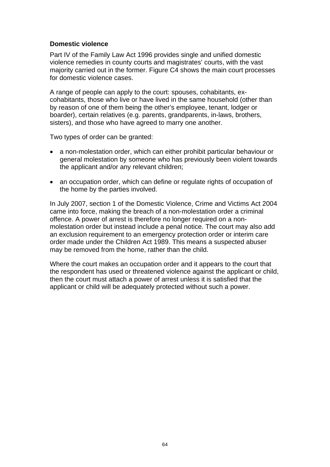### **Domestic violence**

Part IV of the Family Law Act 1996 provides single and unified domestic violence remedies in county courts and magistrates' courts, with the vast majority carried out in the former. Figure C4 shows the main court processes for domestic violence cases.

A range of people can apply to the court: spouses, cohabitants, excohabitants, those who live or have lived in the same household (other than by reason of one of them being the other's employee, tenant, lodger or boarder), certain relatives (e.g. parents, grandparents, in-laws, brothers, sisters), and those who have agreed to marry one another.

Two types of order can be granted:

- a non-molestation order, which can either prohibit particular behaviour or general molestation by someone who has previously been violent towards the applicant and/or any relevant children;
- an occupation order, which can define or regulate rights of occupation of the home by the parties involved.

In July 2007, section 1 of the Domestic Violence, Crime and Victims Act 2004 came into force, making the breach of a non-molestation order a criminal offence. A power of arrest is therefore no longer required on a nonmolestation order but instead include a penal notice. The court may also add an exclusion requirement to an emergency protection order or interim care order made under the Children Act 1989. This means a suspected abuser may be removed from the home, rather than the child.

Where the court makes an occupation order and it appears to the court that the respondent has used or threatened violence against the applicant or child, then the court must attach a power of arrest unless it is satisfied that the applicant or child will be adequately protected without such a power.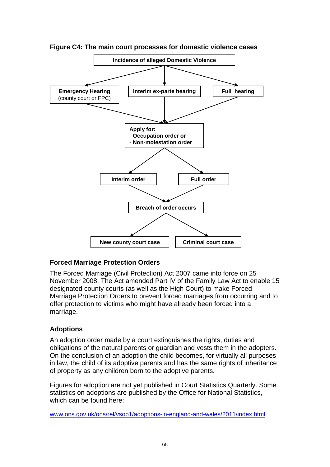

**Figure C4: The main court processes for domestic violence cases** 

#### **Forced Marriage Protection Orders**

The Forced Marriage (Civil Protection) Act 2007 came into force on 25 November 2008. The Act amended Part IV of the Family Law Act to enable 15 designated county courts (as well as the High Court) to make Forced Marriage Protection Orders to prevent forced marriages from occurring and to offer protection to victims who might have already been forced into a marriage.

#### **Adoptions**

An adoption order made by a court extinguishes the rights, duties and obligations of the natural parents or guardian and vests them in the adopters. On the conclusion of an adoption the child becomes, for virtually all purposes in law, the child of its adoptive parents and has the same rights of inheritance of property as any children born to the adoptive parents.

Figures for adoption are not yet published in Court Statistics Quarterly. Some statistics on adoptions are published by the Office for National Statistics, which can be found here:

[www.ons.gov.uk/ons/rel/vsob1/adoptions-in-england-and-wales/2011/index.html](http://www.ons.gov.uk/ons/rel/vsob1/adoptions-in-england-and-wales/2011/index.html)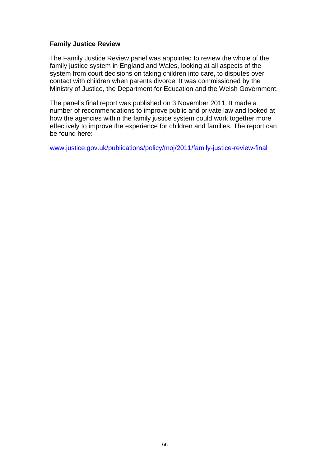#### **Family Justice Review**

The Family Justice Review panel was appointed to review the whole of the family justice system in England and Wales, looking at all aspects of the system from court decisions on taking children into care, to disputes over contact with children when parents divorce. It was commissioned by the Ministry of Justice, the Department for Education and the Welsh Government.

The panel's final report was published on 3 November 2011. It made a number of recommendations to improve public and private law and looked at how the agencies within the family justice system could work together more effectively to improve the experience for children and families. The report can be found here:

[www.justice.gov.uk/publications/policy/moj/2011/family-justice-review-final](http://www.justice.gov.uk/publications/policy/moj/2011/family-justice-review-final)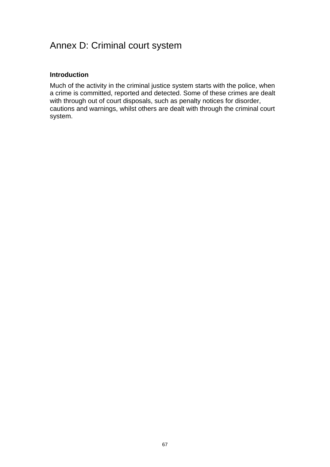# Annex D: Criminal court system

## **Introduction**

Much of the activity in the criminal justice system starts with the police, when a crime is committed, reported and detected. Some of these crimes are dealt with through out of court disposals, such as penalty notices for disorder, cautions and warnings, whilst others are dealt with through the criminal court system.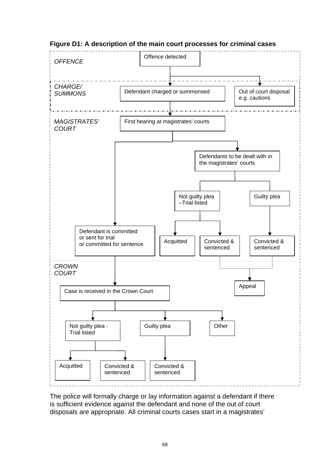

## **Figure D1: A description of the main court processes for criminal cases**

The police will formally charge or lay information against a defendant if there is sufficient evidence against the defendant and none of the out of court disposals are appropriate. All criminal courts cases start in a magistrates'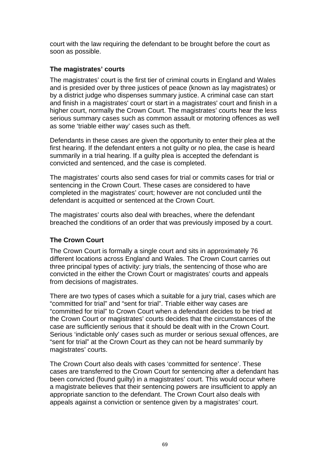court with the law requiring the defendant to be brought before the court as soon as possible.

## **The magistrates' courts**

The magistrates' court is the first tier of criminal courts in England and Wales and is presided over by three justices of peace (known as lay magistrates) or by a district judge who dispenses summary justice. A criminal case can start and finish in a magistrates' court or start in a magistrates' court and finish in a higher court, normally the Crown Court. The magistrates' courts hear the less serious summary cases such as common assault or motoring offences as well as some 'triable either way' cases such as theft.

Defendants in these cases are given the opportunity to enter their plea at the first hearing. If the defendant enters a not guilty or no plea, the case is heard summarily in a trial hearing. If a guilty plea is accepted the defendant is convicted and sentenced, and the case is completed.

The magistrates' courts also send cases for trial or commits cases for trial or sentencing in the Crown Court. These cases are considered to have completed in the magistrates' court; however are not concluded until the defendant is acquitted or sentenced at the Crown Court.

The magistrates' courts also deal with breaches, where the defendant breached the conditions of an order that was previously imposed by a court.

## **The Crown Court**

The Crown Court is formally a single court and sits in approximately 76 different locations across England and Wales. The Crown Court carries out three principal types of activity: jury trials, the sentencing of those who are convicted in the either the Crown Court or magistrates' courts and appeals from decisions of magistrates.

There are two types of cases which a suitable for a jury trial, cases which are "committed for trial" and "sent for trial". Triable either way cases are "committed for trial" to Crown Court when a defendant decides to be tried at the Crown Court or magistrates' courts decides that the circumstances of the case are sufficiently serious that it should be dealt with in the Crown Court. Serious 'indictable only' cases such as murder or serious sexual offences, are "sent for trial" at the Crown Court as they can not be heard summarily by magistrates' courts.

The Crown Court also deals with cases 'committed for sentence'. These cases are transferred to the Crown Court for sentencing after a defendant has been convicted (found guilty) in a magistrates' court. This would occur where a magistrate believes that their sentencing powers are insufficient to apply an appropriate sanction to the defendant. The Crown Court also deals with appeals against a conviction or sentence given by a magistrates' court.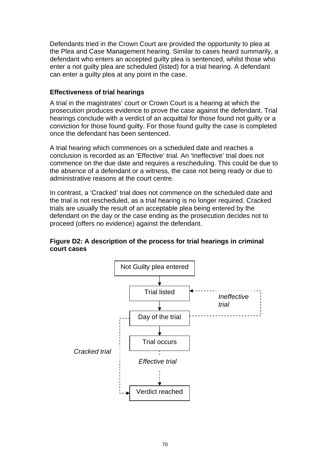Defendants tried in the Crown Court are provided the opportunity to plea at the Plea and Case Management hearing. Similar to cases heard summarily, a defendant who enters an accepted guilty plea is sentenced, whilst those who enter a not guilty plea are scheduled (listed) for a trial hearing. A defendant can enter a guilty plea at any point in the case.

#### **Effectiveness of trial hearings**

A trial in the magistrates' court or Crown Court is a hearing at which the prosecution produces evidence to prove the case against the defendant. Trial hearings conclude with a verdict of an acquittal for those found not guilty or a conviction for those found guilty. For those found guilty the case is completed once the defendant has been sentenced.

A trial hearing which commences on a scheduled date and reaches a conclusion is recorded as an 'Effective' trial. An 'Ineffective' trial does not commence on the due date and requires a rescheduling. This could be due to the absence of a defendant or a witness, the case not being ready or due to administrative reasons at the court centre.

In contrast, a 'Cracked' trial does not commence on the scheduled date and the trial is not rescheduled, as a trial hearing is no longer required. Cracked trials are usually the result of an acceptable plea being entered by the defendant on the day or the case ending as the prosecution decides not to proceed (offers no evidence) against the defendant.

#### **Figure D2: A description of the process for trial hearings in criminal court cases**

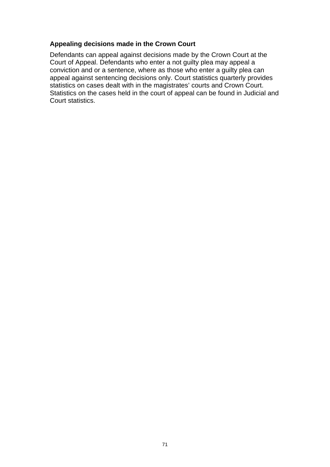## **Appealing decisions made in the Crown Court**

Defendants can appeal against decisions made by the Crown Court at the Court of Appeal. Defendants who enter a not guilty plea may appeal a conviction and or a sentence, where as those who enter a guilty plea can appeal against sentencing decisions only. Court statistics quarterly provides statistics on cases dealt with in the magistrates' courts and Crown Court. Statistics on the cases held in the court of appeal can be found in Judicial and Court statistics.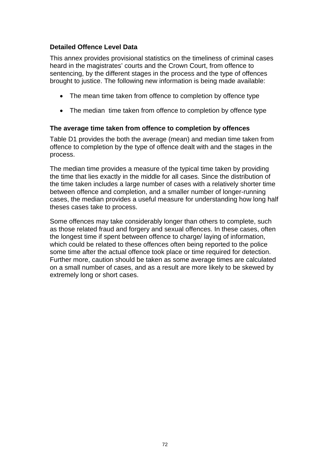## **Detailed Offence Level Data**

This annex provides provisional statistics on the timeliness of criminal cases heard in the magistrates' courts and the Crown Court, from offence to sentencing, by the different stages in the process and the type of offences brought to justice. The following new information is being made available:

- The mean time taken from offence to completion by offence type
- The median time taken from offence to completion by offence type

### **The average time taken from offence to completion by offences**

Table D1 provides the both the average (mean) and median time taken from offence to completion by the type of offence dealt with and the stages in the process.

The median time provides a measure of the typical time taken by providing the time that lies exactly in the middle for all cases. Since the distribution of the time taken includes a large number of cases with a relatively shorter time between offence and completion, and a smaller number of longer-running cases, the median provides a useful measure for understanding how long half theses cases take to process.

Some offences may take considerably longer than others to complete, such as those related fraud and forgery and sexual offences. In these cases, often the longest time if spent between offence to charge/ laying of information, which could be related to these offences often being reported to the police some time after the actual offence took place or time required for detection. Further more, caution should be taken as some average times are calculated on a small number of cases, and as a result are more likely to be skewed by extremely long or short cases.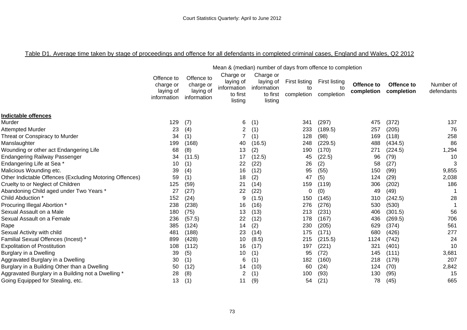## Table D1. Average time taken by stage of proceedings and offence for all defendants in completed criminal cases, England and Wales, Q2 2012

|                                                         | Mean & (median) number of days from offence to completion |                                                     |                                                              |                                                              |                                   |                                          |                          |                          |                         |  |
|---------------------------------------------------------|-----------------------------------------------------------|-----------------------------------------------------|--------------------------------------------------------------|--------------------------------------------------------------|-----------------------------------|------------------------------------------|--------------------------|--------------------------|-------------------------|--|
|                                                         | Offence to<br>charge or<br>laying of<br>information       | Offence to<br>charge or<br>laying of<br>information | Charge or<br>laying of<br>information<br>to first<br>listing | Charge or<br>laying of<br>information<br>to first<br>listing | First listing<br>to<br>completion | <b>First listing</b><br>to<br>completion | Offence to<br>completion | Offence to<br>completion | Number of<br>defendants |  |
| <b>Indictable offences</b>                              |                                                           |                                                     |                                                              |                                                              |                                   |                                          |                          |                          |                         |  |
| Murder                                                  | 129                                                       | (7)                                                 | 6                                                            | (1)                                                          | 341                               | (297)                                    | 475                      | (372)                    | 137                     |  |
| Attempted Murder                                        | 23                                                        | (4)                                                 | 2                                                            | (1)                                                          | 233                               | (189.5)                                  | 257                      | (205)                    | 76                      |  |
| Threat or Conspiracy to Murder                          | 34                                                        | (1)                                                 |                                                              | (1)                                                          | 128                               | (98)                                     | 169                      | (118)                    | 258                     |  |
| Manslaughter                                            | 199                                                       | (168)                                               | 40                                                           | (16.5)                                                       | 248                               | (229.5)                                  | 488                      | (434.5)                  | 86                      |  |
| Wounding or other act Endangering Life                  | 68                                                        | (8)                                                 | 13                                                           | (2)                                                          | 190                               | (170)                                    | 271                      | (224.5)                  | 1,294                   |  |
| Endangering Railway Passenger                           | 34                                                        | (11.5)                                              | 17                                                           | (12.5)                                                       | 45                                | (22.5)                                   | 96                       | (79)                     | 10                      |  |
| Endangering Life at Sea *                               | 10                                                        | (1)                                                 | 22                                                           | (22)                                                         | 26                                | (2)                                      | 58                       | (27)                     | 3                       |  |
| Malicious Wounding etc.                                 | 39                                                        | (4)                                                 | 16                                                           | (12)                                                         | 95                                | (55)                                     | 150                      | (99)                     | 9,855                   |  |
| Other Indictable Offences (Excluding Motoring Offences) | 59                                                        | (1)                                                 | 18                                                           | (2)                                                          | 47                                | (5)                                      | 124                      | (29)                     | 2,038                   |  |
| Cruelty to or Neglect of Children                       | 125                                                       | (59)                                                | 21                                                           | (14)                                                         | 159                               | (119)                                    | 306                      | (202)                    | 186                     |  |
| Abandoning Child aged under Two Years *                 | 27                                                        | (27)                                                | 22                                                           | (22)                                                         | 0                                 | (0)                                      | 49                       | (49)                     |                         |  |
| Child Abduction *                                       | 152                                                       | (24)                                                | 9                                                            | (1.5)                                                        | 150                               | (145)                                    | 310                      | (242.5)                  | 28                      |  |
| Procuring Illegal Abortion *                            | 238                                                       | (238)                                               | 16                                                           | (16)                                                         | 276                               | (276)                                    | 530                      | (530)                    |                         |  |
| Sexual Assault on a Male                                | 180                                                       | (75)                                                | 13                                                           | (13)                                                         | 213                               | (231)                                    | 406                      | (301.5)                  | 56                      |  |
| Sexual Assault on a Female                              | 236                                                       | (57.5)                                              | 22                                                           | (12)                                                         | 178                               | (167)                                    | 436                      | (269.5)                  | 706                     |  |
| Rape                                                    | 385                                                       | (124)                                               | 14                                                           | (2)                                                          | 230                               | (205)                                    | 629                      | (374)                    | 561                     |  |
| Sexual Activity with child                              | 481                                                       | (188)                                               | 23                                                           | (14)                                                         | 175                               | (171)                                    | 680                      | (426)                    | 277                     |  |
| Familial Sexual Offences (Incest) *                     | 899                                                       | (428)                                               | 10                                                           | (8.5)                                                        | 215                               | (215.5)                                  | 1124                     | (742)                    | 24                      |  |
| <b>Expolitation of Prostitution</b>                     | 108                                                       | (112)                                               | 16                                                           | (17)                                                         | 197                               | (221)                                    | 321                      | (401)                    | 10                      |  |
| Burglary in a Dwelling                                  | 39                                                        | (5)                                                 | 10                                                           | (1)                                                          | 95                                | (72)                                     | 145                      | (111)                    | 3,681                   |  |
| Aggravated Burglary in a Dwelling                       | 30                                                        | (1)                                                 | 6                                                            | (1)                                                          | 182                               | (160)                                    | 218                      | (179)                    | 207                     |  |
| Burglary in a Building Other than a Dwelling            | 50                                                        | (12)                                                | 14                                                           | (10)                                                         | 60                                | (24)                                     | 124                      | (70)                     | 2,842                   |  |
| Aggravated Burglary in a Building not a Dwelling *      | 28                                                        | (8)                                                 |                                                              | (1)                                                          | 100                               | (93)                                     | 130                      | (95)                     | 15                      |  |
| Going Equipped for Stealing, etc.                       | 13                                                        | (1)                                                 | 11                                                           | (9)                                                          | 54                                | (21)                                     | 78                       | (45)                     | 665                     |  |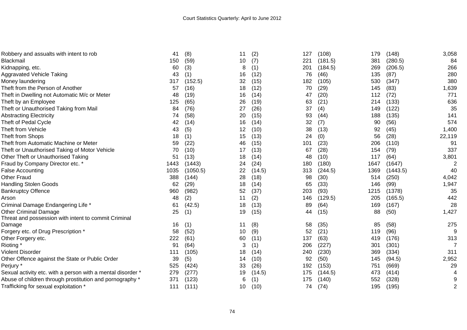| Robbery and assualts with intent to rob                     | 41   | (8)      | 11 | (2)    | 127 | (108)   | 179  | (148)    | 3,058          |
|-------------------------------------------------------------|------|----------|----|--------|-----|---------|------|----------|----------------|
| Blackmail                                                   | 150  | (59)     | 10 | (7)    | 221 | (181.5) | 381  | (280.5)  | 84             |
| Kidnapping, etc.                                            | 60   | (3)      | 8  | (1)    | 201 | (184.5) | 269  | (206.5)  | 266            |
| Aggravated Vehicle Taking                                   | 43   | (1)      | 16 | (12)   | 76  | (46)    | 135  | (87)     | 280            |
| Money laundering                                            | 317  | (152.5)  | 32 | (15)   | 182 | (105)   | 530  | (347)    | 380            |
| Theft from the Person of Another                            | 57   | (16)     | 18 | (12)   | 70  | (29)    | 145  | (83)     | 1,639          |
| Theft in Dwelling not Automatic M/c or Meter                | 48   | (19)     | 16 | (14)   | 47  | (20)    | 112  | (72)     | 771            |
| Theft by an Employee                                        | 125  | (65)     | 26 | (19)   | 63  | (21)    | 214  | (133)    | 636            |
| Theft or Unauthorised Taking from Mail                      | 84   | (76)     | 27 | (26)   | 37  | (4)     | 149  | (122)    | 35             |
| <b>Abstracting Electricity</b>                              | 74   | (58)     | 20 | (15)   | 93  | (44)    | 188  | (135)    | 141            |
| Theft of Pedal Cycle                                        | 42   | (14)     | 16 | (14)   | 32  | (7)     | 90   | (56)     | 574            |
| Theft from Vehicle                                          | 43   | (5)      | 12 | (10)   | 38  | (13)    | 92   | (45)     | 1,400          |
| Theft from Shops                                            | 18   | (1)      | 15 | (13)   | 24  | (0)     | 56   | (28)     | 22,119         |
| Theft from Automatic Machine or Meter                       | 59   | (22)     | 46 | (15)   | 101 | (23)    | 206  | (110)    | 91             |
| Theft or Unauthorised Taking of Motor Vehicle               | 70   | (10)     | 17 | (13)   | 67  | (28)    | 154  | (79)     | 337            |
| Other Theft or Unauthorised Taking                          | 51   | (13)     | 18 | (14)   | 48  | (10)    | 117  | (64)     | 3,801          |
| Fraud by Company Director etc. *                            | 1443 | (1443)   | 24 | (24)   | 180 | (180)   | 1647 | (1647)   |                |
| False Accounting                                            | 1035 | (1050.5) | 22 | (14.5) | 313 | (244.5) | 1369 | (1443.5) | 40             |
| Other Fraud                                                 | 388  | (144)    | 28 | (18)   | 98  | (30)    | 514  | (250)    | 4,042          |
| <b>Handling Stolen Goods</b>                                | 62   | (29)     | 18 | (14)   | 65  | (33)    | 146  | (99)     | 1,947          |
| <b>Bankruptcy Offence</b>                                   | 960  | (982)    | 52 | (37)   | 203 | (93)    | 1215 | (1378)   | 35             |
| Arson                                                       | 48   | (2)      | 11 | (2)    | 146 | (129.5) | 205  | (165.5)  | 442            |
| Criminal Damage Endangering Life *                          | 61   | (42.5)   | 18 | (13)   | 89  | (64)    | 169  | (167)    | 28             |
| <b>Other Criminal Damage</b>                                | 25   | (1)      | 19 | (15)   | 44  | (15)    | 88   | (50)     | 1,427          |
| Threat and possession with intent to commit Criminal        |      |          |    |        |     |         |      |          |                |
| Damage                                                      | 16   | (1)      | 11 | (8)    | 58  | (35)    | 85   | (58)     | 275            |
| Forgery etc. of Drug Prescription *                         | 58   | (52)     | 10 | (9)    | 52  | (21)    | 119  | (96)     | 9              |
| Other Forgery etc.                                          | 222  | (61)     | 60 | (11)   | 137 | (63)    | 419  | (176)    | 313            |
| Rioting *                                                   | 91   | (64)     | 3  | (1)    | 206 | (227)   | 301  | (301)    | 7              |
| Violent Disorder                                            | 111  | (105)    | 18 | (14)   | 240 | (230)   | 369  | (334)    | 311            |
| Other Offence against the State or Public Order             | 39   | (5)      | 14 | (10)   | 92  | (50)    | 145  | (94.5)   | 2,952          |
| Perjury *                                                   | 525  | (424)    | 33 | (26)   | 192 | (153)   | 751  | (669)    | 29             |
| Sexual activity etc. with a person with a mental disorder * | 279  | (277)    | 19 | (14.5) | 175 | (144.5) | 473  | (414)    |                |
| Abuse of children through prostitution and pornography *    | 371  | (123)    | 6  | (1)    | 175 | (140)   | 552  | (328)    |                |
| Trafficking for sexual exploitation *                       | 111  | (111)    | 10 | (10)   | 74  | (74)    | 195  | (195)    | $\overline{2}$ |
|                                                             |      |          |    |        |     |         |      |          |                |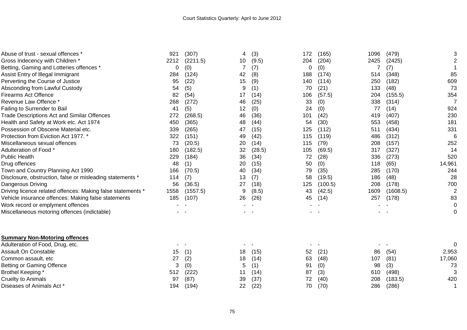| Abuse of trust - sexual offences                            | 921  | (307)    | 4  | (3)    | 172 | (165)   | 1096 | (479)    | 3              |
|-------------------------------------------------------------|------|----------|----|--------|-----|---------|------|----------|----------------|
| Gross Indecency with Children *                             | 2212 | (2211.5) | 10 | (9.5)  | 204 | (204)   | 2425 | (2425)   | 2              |
| Betting, Gaming and Lotteries offences *                    | 0    | (0)      |    | (7)    | 0   | (0)     |      | (7)      |                |
| Assist Entry of Illegal Immigrant                           | 284  | (124)    | 42 | (8)    | 188 | (174)   | 514  | (348)    | 85             |
| Perverting the Course of Justice                            | 95   | (22)     | 15 | (9)    | 140 | (114)   | 250  | (182)    | 609            |
| Absconding from Lawful Custody                              | 54   | (5)      | 9  | (1)    | 70  | (21)    | 133  | (48)     | 73             |
| <b>Firearms Act Offence</b>                                 | 82   | (54)     | 17 | (14)   | 106 | (57.5)  | 204  | (155.5)  | 354            |
| Revenue Law Offence *                                       | 268  | (272)    | 46 | (25)   | 33  | (0)     | 338  | (314)    | 7              |
| Failing to Surrender to Bail                                | 41   | (5)      | 12 | (0)    | 24  | (0)     | 77   | (14)     | 924            |
| Trade Descriptions Act and Similar Offences                 | 272  | (268.5)  | 46 | (36)   | 101 | (42)    | 419  | (407)    | 230            |
| Health and Safety at Work etc. Act 1974                     | 450  | (365)    | 48 | (44)   | 54  | (30)    | 553  | (458)    | 181            |
| Possession of Obscene Material etc.                         | 339  | (265)    | 47 | (15)   | 125 | (112)   | 511  | (434)    | 331            |
| Protection from Eviction Act 1977.                          | 322  | (151)    | 49 | (42)   | 115 | (119)   | 486  | (312)    | 6              |
| Miscellaneous sexual offences                               | 73   | (20.5)   | 20 | (14)   | 115 | (79)    | 208  | (157)    | 252            |
| Adulteration of Food *                                      | 180  | (182.5)  | 32 | (28.5) | 105 | (69.5)  | 317  | (327)    | 14             |
| <b>Public Health</b>                                        | 229  | (184)    | 36 | (34)   | 72  | (28)    | 336  | (273)    | 520            |
| Drug offences                                               | 48   | (1)      | 20 | (15)   | 50  | (0)     | 118  | (65)     | 14,961         |
| Town and Country Planning Act 1990                          | 166  | (70.5)   | 40 | (34)   | 79  | (35)    | 285  | (170)    | 244            |
| Disclosure, obstruction, false or misleading statements *   | 114  | (7)      | 13 | (7)    | 58  | (19.5)  | 186  | (48)     | 28             |
| Dangerous Driving                                           | 56   | (36.5)   | 27 | (18)   | 125 | (100.5) | 208  | (178)    | 700            |
| Driving licence related offences: Making false statements * | 1558 | (1557.5) | 9  | (8.5)  | 43  | (42.5)  | 1609 | (1608.5) | $\overline{2}$ |
| Vehicle insurance offences: Making false statements         | 185  | (107)    | 26 | (26)   | 45  | (14)    | 257  | (178)    | 83             |
| Work record or emplyment offences                           |      |          |    |        |     |         |      |          | 0              |
| Miscellaneous motoring offences (indictable)                |      |          |    |        |     |         |      |          | 0              |
| <b>Summary Non-Motoring offences</b>                        |      |          |    |        |     |         |      |          |                |
| Adulteration of Food, Drug, etc.                            |      |          |    |        |     |         |      |          | ∩              |
| Assault On Constable                                        | 15   | (1)      | 18 | (15)   | 52  | (21)    | 86   | (54)     | 2,953          |
| Common assault, etc                                         | 27   | (2)      | 18 | (14)   | 63  | (48)    | 107  | (81)     | 17,060         |
| Betting or Gaming Offence                                   | 3    | (0)      | 5  | (1)    | 91  | (0)     | 98   | (3)      | 73             |
| Brothel Keeping *                                           | 512  | (222)    | 11 | (14)   | 87  | (3)     | 610  | (498)    | 3              |
| <b>Cruelty to Animals</b>                                   | 97   | (87)     | 39 | (37)   | 72  | (40)    | 208  | (183.5)  | 420            |
| Diseases of Animals Act *                                   | 194  | (194)    | 22 | (22)   | 70  | (70)    | 286  | (286)    | 1              |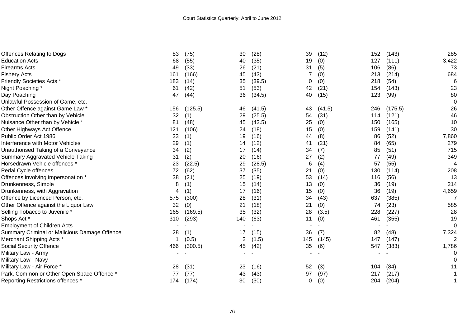| Offences Relating to Dogs                    | 83  | (75)    | 30  | (28)   | 39  | (12)   | 152 | (143)   | 285            |
|----------------------------------------------|-----|---------|-----|--------|-----|--------|-----|---------|----------------|
| <b>Education Acts</b>                        | 68  | (55)    | 40  | (35)   | 19  | (0)    | 127 | (111)   | 3,422          |
| Firearms Acts                                | 49  | (33)    | 26  | (21)   | 31  | (5)    | 106 | (86)    | 73             |
| Fishery Acts                                 | 161 | (166)   | 45  | (43)   |     | (0)    | 213 | (214)   | 684            |
| <b>Friendly Societies Acts *</b>             | 183 | (14)    | 35  | (39.5) | 0   | (0)    | 218 | (54)    | 6              |
| Night Poaching*                              | 61  | (42)    | 51  | (53)   | 42  | (21)   | 154 | (143)   | 23             |
| Day Poaching                                 | 47  | (44)    | 36  | (34.5) | 40  | (15)   | 123 | (99)    | 80             |
| Unlawful Possession of Game, etc.            |     |         |     |        |     |        |     |         | 0              |
| Other Offence against Game Law *             | 156 | (125.5) | 46  | (41.5) | 43  | (41.5) | 246 | (175.5) | 26             |
| Obstruction Other than by Vehicle            | 32  | (1)     | 29  | (25.5) | 54  | (31)   | 114 | (121)   | 46             |
| Nuisance Other than by Vehicle *             | 81  | (48)    | 45  | (43.5) | 25  | (0)    | 150 | (165)   | 10             |
| Other Highways Act Offence                   | 121 | (106)   | 24  | (18)   | 15  | (0)    | 159 | (141)   | 30             |
| Public Order Act 1986                        | 23  | (1)     | 19  | (16)   | 44  | (8)    | 86  | (52)    | 7,860          |
| <b>Interference with Motor Vehicles</b>      | 29  | (1)     | 14  | (12)   | 41  | (21)   | 84  | (65)    | 279            |
| Unauthorised Taking of a Conveyance          | 34  | (2)     | 17  | (14)   | 34  | (7)    | 85  | (51)    | 715            |
| Summary Aggravated Vehicle Taking            | 31  | (2)     | 20  | (16)   | 27  | (2)    | 77  | (49)    | 349            |
| Horsedrawn Vehicle offences *                | 23  | (22.5)  | 29  | (28.5) | 6   | (4)    | 57  | (55)    | 4              |
| Pedal Cycle offences                         | 72  | (62)    | 37  | (35)   | 21  | (0)    | 130 | (114)   | 208            |
| Offences involving impersonation *           | 38  | (21)    | 25  | (19)   | 53  | (14)   | 116 | (56)    | 13             |
| Drunkenness, Simple                          | 8   | (1)     | 15  | (14)   | 13  | (0)    | 36  | (19)    | 214            |
| Drunkenness, with Aggravation                |     | (1)     | 17  | (16)   | 15  | (0)    | 36  | (19)    | 4,659          |
| Offence by Licenced Person, etc.             | 575 | (300)   | 28  | (31)   | 34  | (43)   | 637 | (385)   |                |
| Other Offence against the Liquor Law         | 32  | (0)     | 21  | (18)   | 21  | (0)    | 74  | (23)    | 585            |
| Selling Tobacco to Juvenile *                | 165 | (169.5) | 35  | (32)   | 28  | (3.5)  | 228 | (227)   | 28             |
| Shops Act*                                   | 310 | (293)   | 140 | (63)   | 11  | (0)    | 461 | (355)   | 19             |
| <b>Employment of Children Acts</b>           |     |         |     |        |     |        |     |         | 0              |
| Summary Criminal or Malicious Damage Offence | 28  | (1)     | 17  | (15)   | 36  | (7)    | 82  | (48)    | 7,324          |
| Merchant Shipping Acts *                     |     | (0.5)   |     | (1.5)  | 145 | (145)  | 147 | (147)   | $\overline{2}$ |
| <b>Social Security Offence</b>               | 466 | (300.5) | 45  | (42)   | 35  | (6)    | 547 | (383)   | 1,786          |
| Military Law - Army                          |     |         |     |        |     |        |     |         |                |
| Military Law - Navy                          |     |         |     |        |     |        |     |         |                |
| Military Law - Air Force *                   | 28  | (31)    | 23  | (16)   | 52  | (3)    | 104 | (84)    | 11             |
| Park, Common or Other Open Space Offence *   | 77  | (77)    | 43  | (43)   | 97  | (97)   | 217 | (217)   |                |
| Reporting Restrictions offences *            | 174 | (174)   | 30  | (30)   | 0   | (0)    | 204 | (204)   |                |
|                                              |     |         |     |        |     |        |     |         |                |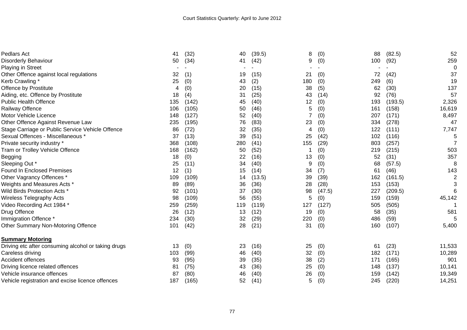| Pedlars Act                                         | 41  | (32)  | 40  | (39.5) | 8   | (0)    | 88  | (82.5)  | 52             |
|-----------------------------------------------------|-----|-------|-----|--------|-----|--------|-----|---------|----------------|
| <b>Disorderly Behaviour</b>                         | 50  | (34)  | 41  | (42)   | 9   | (0)    | 100 | (92)    | 259            |
| <b>Playing in Street</b>                            |     |       |     |        |     |        |     |         | 0              |
| Other Offence against local regulations             | 32  | (1)   | 19  | (15)   | 21  | (0)    | 72  | (42)    | 37             |
| Kerb Crawling *                                     | 25  | (0)   | 43  | (2)    | 180 | (0)    | 249 | (6)     | 19             |
| Offence by Prostitute                               | 4   | (0)   | 20  | (15)   | 38  | (5)    | 62  | (30)    | 137            |
| Aiding, etc. Offence by Prostitute                  | 18  | (4)   | 31  | (25)   | 43  | (14)   | 92  | (76)    | 57             |
| <b>Public Health Offence</b>                        | 135 | (142) | 45  | (40)   | 12  | (0)    | 193 | (193.5) | 2,326          |
| Railway Offence                                     | 106 | (105) | 50  | (46)   | 5   | (0)    | 161 | (158)   | 16,619         |
| Motor Vehicle Licence                               | 148 | (127) | 52  | (40)   |     | (0)    | 207 | (171)   | 8,497          |
| Other Offence Against Revenue Law                   | 235 | (195) | 76  | (83)   | 23  | (0)    | 334 | (278)   | 47             |
| Stage Carriage or Public Service Vehicle Offence    | 86  | (72)  | 32  | (35)   | 4   | (0)    | 122 | (111)   | 7,747          |
| Sexual Offences - Miscellaneous *                   | 37  | (13)  | 39  | (51)   | 25  | (42)   | 102 | (116)   | 5              |
| Private security industry *                         | 368 | (108) | 280 | (41)   | 155 | (29)   | 803 | (257)   | $\overline{7}$ |
| Tram or Trolley Vehicle Offence                     | 168 | (162) | 50  | (52)   |     | (0)    | 219 | (215)   | 503            |
| Begging                                             | 18  | (0)   | 22  | (16)   | 13  | (0)    | 52  | (31)    | 357            |
| Sleeping Out *                                      | 25  | (11)  | 34  | (40)   | 9   | (0)    | 68  | (57.5)  | 8              |
| <b>Found In Enclosed Premises</b>                   | 12  | (1)   | 15  | (14)   | 34  | (7)    | 61  | (46)    | 143            |
| Other Vagrancy Offences *                           | 109 | (109) | 14  | (13.5) | 39  | (39)   | 162 | (161.5) | $\overline{2}$ |
| Weights and Measures Acts *                         | 89  | (89)  | 36  | (36)   | 28  | (28)   | 153 | (153)   | 3              |
| Wild Birds Protection Acts <sup>*</sup>             | 92  | (101) | 37  | (30)   | 98  | (47.5) | 227 | (209.5) | 6              |
| Wireless Telegraphy Acts                            | 98  | (109) | 56  | (55)   | 5   | (0)    | 159 | (159)   | 45,142         |
| Video Recording Act 1984 *                          | 259 | (259) | 119 | (119)  | 127 | (127)  | 505 | (505)   |                |
| Drug Offence                                        | 26  | (12)  | 13  | (12)   | 19  | (0)    | 58  | (35)    | 581            |
| Immigration Offence *                               | 234 | (30)  | 32  | (29)   | 220 | (0)    | 486 | (59)    | 5              |
| Other Summary Non-Motoring Offence                  | 101 | (42)  | 28  | (21)   | 31  | (0)    | 160 | (107)   | 5,400          |
| <b>Summary Motoring</b>                             |     |       |     |        |     |        |     |         |                |
| Driving etc after consuming alcohol or taking drugs | 13  | (0)   | 23  | (16)   | 25  | (0)    | 61  | (23)    | 11,533         |
| Careless driving                                    | 103 | (99)  | 46  | (40)   | 32  | (0)    | 182 | (171)   | 10,289         |
| <b>Accident offences</b>                            | 93  | (95)  | 39  | (35)   | 38  | (2)    | 171 | (165)   | 901            |
| Driving licence related offences                    | 81  | (75)  | 43  | (36)   | 25  | (0)    | 148 | (137)   | 10,141         |
| Vehicle insurance offences                          | 87  | (80)  | 46  | (40)   | 26  | (0)    | 159 | (142)   | 19,349         |
| Vehicle registration and excise licence offences    | 187 | (165) | 52  | (41)   | 5   | (0)    | 245 | (220)   | 14,251         |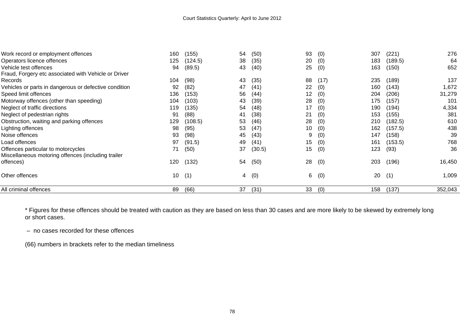| Work record or employment offences                    | 160 | (155)   | 54 | (50)   | 93 | (0)  | 307 | (221)   | 276     |
|-------------------------------------------------------|-----|---------|----|--------|----|------|-----|---------|---------|
| Operators licence offences                            | 125 | (124.5) | 38 | (35)   | 20 | (0)  | 183 | (189.5) | 64      |
| Vehicle test offences                                 | 94  | (89.5)  | 43 | (40)   | 25 | (0)  | 163 | (150)   | 652     |
| Fraud, Forgery etc associated with Vehicle or Driver  |     |         |    |        |    |      |     |         |         |
| Records                                               | 104 | (98)    | 43 | (35)   | 88 | (17) | 235 | (189)   | 137     |
| Vehicles or parts in dangerous or defective condition | 92  | (82)    | 47 | (41)   | 22 | (0)  | 160 | (143)   | 1,672   |
| Speed limit offences                                  | 136 | (153)   | 56 | (44)   | 12 | (0)  | 204 | (206)   | 31,279  |
| Motorway offences (other than speeding)               | 104 | (103)   | 43 | (39)   | 28 | (0)  | 175 | (157)   | 101     |
| Neglect of traffic directions                         | 119 | (135)   | 54 | (48)   | 17 | (0)  | 190 | (194)   | 4,334   |
| Neglect of pedestrian rights                          | 91  | (88)    | 41 | (38)   | 21 | (0)  | 153 | (155)   | 381     |
| Obstruction, waiting and parking offences             | 129 | (108.5) | 53 | (46)   | 28 | (0)  | 210 | (182.5) | 610     |
| Lighting offences                                     | 98  | (95)    | 53 | (47)   | 10 | (0)  | 162 | (157.5) | 438     |
| Noise offences                                        | 93  | (98)    | 45 | (43)   | 9  | (0)  | 147 | (158)   | 39      |
| Load offences                                         | 97  | (91.5)  | 49 | (41)   | 15 | (0)  | 161 | (153.5) | 768     |
| Offences particular to motorcycles                    | 71  | (50)    | 37 | (30.5) | 15 | (0)  | 123 | (93)    | 36      |
| Miscellaneous motoring offences (including trailer    |     |         |    |        |    |      |     |         |         |
| offences)                                             | 120 | (132)   | 54 | (50)   | 28 | (0)  | 203 | (196)   | 16,450  |
| Other offences                                        | 10  | (1)     | 4  | (0)    | 6  | (0)  | 20  | (1)     | 1,009   |
| All criminal offences                                 | 89  | (66)    | 37 | (31)   | 33 | (0)  | 158 | (137)   | 352,043 |

\* Figures for these offences should be treated with caution as they are based on less than 30 cases and are more likely to be skewed by extremely long or short cases.

– no cases recorded for these offences

(66) numbers in brackets refer to the median timeliness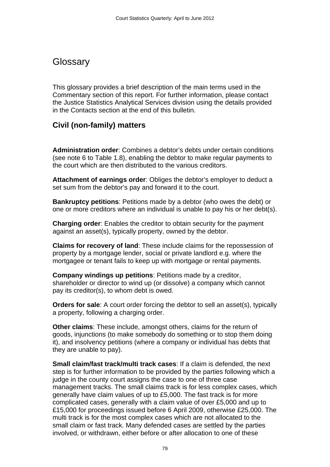# **Glossary**

This glossary provides a brief description of the main terms used in the Commentary section of this report. For further information, please contact the Justice Statistics Analytical Services division using the details provided in the Contacts section at the end of this bulletin.

# **Civil (non-family) matters**

**Administration order**: Combines a debtor's debts under certain conditions (see note 6 to Table 1.8), enabling the debtor to make regular payments to the court which are then distributed to the various creditors.

**Attachment of earnings order**: Obliges the debtor's employer to deduct a set sum from the debtor's pay and forward it to the court.

**Bankruptcy petitions**: Petitions made by a debtor (who owes the debt) or one or more creditors where an individual is unable to pay his or her debt(s).

**Charging order**: Enables the creditor to obtain security for the payment against an asset(s), typically property, owned by the debtor.

**Claims for recovery of land**: These include claims for the repossession of property by a mortgage lender, social or private landlord e.g. where the mortgagee or tenant fails to keep up with mortgage or rental payments.

**Company windings up petitions**: Petitions made by a creditor, shareholder or director to wind up (or dissolve) a company which cannot pay its creditor(s), to whom debt is owed.

**Orders for sale**: A court order forcing the debtor to sell an asset(s), typically a property, following a charging order.

**Other claims**: These include, amongst others, claims for the return of goods, injunctions (to make somebody do something or to stop them doing it), and insolvency petitions (where a company or individual has debts that they are unable to pay).

**Small claim/fast track/multi track cases**: If a claim is defended, the next step is for further information to be provided by the parties following which a judge in the county court assigns the case to one of three case management tracks. The small claims track is for less complex cases, which generally have claim values of up to £5,000. The fast track is for more complicated cases, generally with a claim value of over £5,000 and up to £15,000 for proceedings issued before 6 April 2009, otherwise £25,000. The multi track is for the most complex cases which are not allocated to the small claim or fast track. Many defended cases are settled by the parties involved, or withdrawn, either before or after allocation to one of these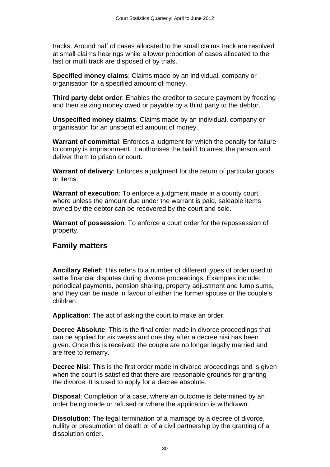tracks. Around half of cases allocated to the small claims track are resolved at small claims hearings while a lower proportion of cases allocated to the fast or multi track are disposed of by trials.

**Specified money claims**: Claims made by an individual, company or organisation for a specified amount of money.

**Third party debt order**: Enables the creditor to secure payment by freezing and then seizing money owed or payable by a third party to the debtor.

**Unspecified money claims**: Claims made by an individual, company or organisation for an unspecified amount of money.

**Warrant of committal**: Enforces a judgment for which the penalty for failure to comply is imprisonment. It authorises the bailiff to arrest the person and deliver them to prison or court.

**Warrant of delivery**: Enforces a judgment for the return of particular goods or items.

**Warrant of execution**: To enforce a judgment made in a county court, where unless the amount due under the warrant is paid, saleable items owned by the debtor can be recovered by the court and sold.

**Warrant of possession**: To enforce a court order for the repossession of property.

## **Family matters**

**Ancillary Relief**: This refers to a number of different types of order used to settle financial disputes during divorce proceedings. Examples include: periodical payments, pension sharing, property adjustment and lump sums, and they can be made in favour of either the former spouse or the couple's children.

**Application**: The act of asking the court to make an order.

**Decree Absolute**: This is the final order made in divorce proceedings that can be applied for six weeks and one day after a decree nisi has been given. Once this is received, the couple are no longer legally married and are free to remarry.

**Decree Nisi:** This is the first order made in divorce proceedings and is given when the court is satisfied that there are reasonable grounds for granting the divorce. It is used to apply for a decree absolute.

**Disposal**: Completion of a case, where an outcome is determined by an order being made or refused or where the application is withdrawn.

**Dissolution**: The legal termination of a marriage by a decree of divorce, nullity or presumption of death or of a civil partnership by the granting of a dissolution order.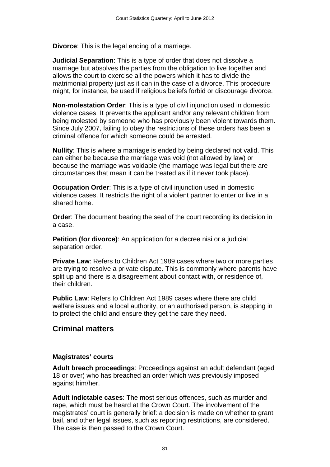**Divorce**: This is the legal ending of a marriage.

**Judicial Separation**: This is a type of order that does not dissolve a marriage but absolves the parties from the obligation to live together and allows the court to exercise all the powers which it has to divide the matrimonial property just as it can in the case of a divorce. This procedure might, for instance, be used if religious beliefs forbid or discourage divorce.

**Non-molestation Order**: This is a type of civil injunction used in domestic violence cases. It prevents the applicant and/or any relevant children from being molested by someone who has previously been violent towards them. Since July 2007, failing to obey the restrictions of these orders has been a criminal offence for which someone could be arrested.

**Nullity**: This is where a marriage is ended by being declared not valid. This can either be because the marriage was void (not allowed by law) or because the marriage was voidable (the marriage was legal but there are circumstances that mean it can be treated as if it never took place).

**Occupation Order**: This is a type of civil injunction used in domestic violence cases. It restricts the right of a violent partner to enter or live in a shared home.

**Order**: The document bearing the seal of the court recording its decision in a case.

**Petition (for divorce)**: An application for a decree nisi or a judicial separation order.

**Private Law**: Refers to Children Act 1989 cases where two or more parties are trying to resolve a private dispute. This is commonly where parents have split up and there is a disagreement about contact with, or residence of, their children.

**Public Law**: Refers to Children Act 1989 cases where there are child welfare issues and a local authority, or an authorised person, is stepping in to protect the child and ensure they get the care they need.

## **Criminal matters**

### **Magistrates' courts**

**Adult breach proceedings**: Proceedings against an adult defendant (aged 18 or over) who has breached an order which was previously imposed against him/her.

**Adult indictable cases**: The most serious offences, such as murder and rape, which must be heard at the Crown Court. The involvement of the magistrates' court is generally brief: a decision is made on whether to grant bail, and other legal issues, such as reporting restrictions, are considered. The case is then passed to the Crown Court.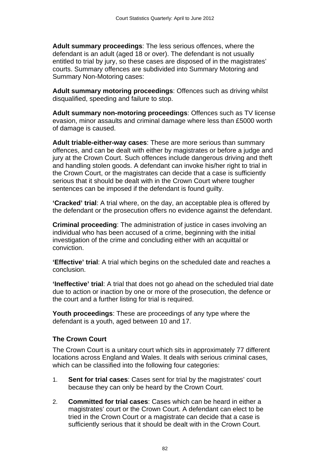**Adult summary proceedings**: The less serious offences, where the defendant is an adult (aged 18 or over). The defendant is not usually entitled to trial by jury, so these cases are disposed of in the magistrates' courts. Summary offences are subdivided into Summary Motoring and Summary Non-Motoring cases:

**Adult summary motoring proceedings**: Offences such as driving whilst disqualified, speeding and failure to stop.

**Adult summary non-motoring proceedings**: Offences such as TV license evasion, minor assaults and criminal damage where less than £5000 worth of damage is caused.

**Adult triable-either-way cases**: These are more serious than summary offences, and can be dealt with either by magistrates or before a judge and jury at the Crown Court. Such offences include dangerous driving and theft and handling stolen goods. A defendant can invoke his/her right to trial in the Crown Court, or the magistrates can decide that a case is sufficiently serious that it should be dealt with in the Crown Court where tougher sentences can be imposed if the defendant is found guilty.

**'Cracked' trial**: A trial where, on the day, an acceptable plea is offered by the defendant or the prosecution offers no evidence against the defendant.

**Criminal proceeding**: The administration of justice in cases involving an individual who has been accused of a crime, beginning with the initial investigation of the crime and concluding either with an acquittal or conviction.

**'Effective' trial**: A trial which begins on the scheduled date and reaches a conclusion.

**'Ineffective' trial**: A trial that does not go ahead on the scheduled trial date due to action or inaction by one or more of the prosecution, the defence or the court and a further listing for trial is required.

**Youth proceedings**: These are proceedings of any type where the defendant is a youth, aged between 10 and 17.

### **The Crown Court**

The Crown Court is a unitary court which sits in approximately 77 different locations across England and Wales. It deals with serious criminal cases, which can be classified into the following four categories:

- 1. **Sent for trial cases**: Cases sent for trial by the magistrates' court because they can only be heard by the Crown Court.
- 2. **Committed for trial cases**: Cases which can be heard in either a magistrates' court or the Crown Court. A defendant can elect to be tried in the Crown Court or a magistrate can decide that a case is sufficiently serious that it should be dealt with in the Crown Court.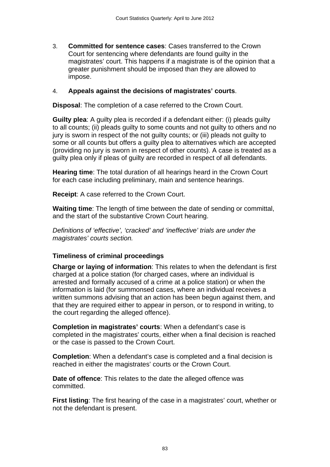3. **Committed for sentence cases**: Cases transferred to the Crown Court for sentencing where defendants are found guilty in the magistrates' court. This happens if a magistrate is of the opinion that a greater punishment should be imposed than they are allowed to impose.

#### 4. **Appeals against the decisions of magistrates' courts**.

**Disposal**: The completion of a case referred to the Crown Court.

**Guilty plea**: A guilty plea is recorded if a defendant either: (i) pleads guilty to all counts; (ii) pleads guilty to some counts and not guilty to others and no jury is sworn in respect of the not guilty counts; or (iii) pleads not guilty to some or all counts but offers a guilty plea to alternatives which are accepted (providing no jury is sworn in respect of other counts). A case is treated as a guilty plea only if pleas of guilty are recorded in respect of all defendants.

**Hearing time**: The total duration of all hearings heard in the Crown Court for each case including preliminary, main and sentence hearings.

**Receipt**: A case referred to the Crown Court.

**Waiting time**: The length of time between the date of sending or committal, and the start of the substantive Crown Court hearing.

*Definitions of 'effective', 'cracked' and 'ineffective' trials are under the magistrates' courts section.* 

### **Timeliness of criminal proceedings**

**Charge or laying of information**: This relates to when the defendant is first charged at a police station (for charged cases, where an individual is arrested and formally accused of a crime at a police station) or when the information is laid (for summonsed cases, where an individual receives a written summons advising that an action has been begun against them, and that they are required either to appear in person, or to respond in writing, to the court regarding the alleged offence).

**Completion in magistrates' courts**: When a defendant's case is completed in the magistrates' courts, either when a final decision is reached or the case is passed to the Crown Court.

**Completion**: When a defendant's case is completed and a final decision is reached in either the magistrates' courts or the Crown Court.

**Date of offence**: This relates to the date the alleged offence was committed.

**First listing**: The first hearing of the case in a magistrates' court, whether or not the defendant is present.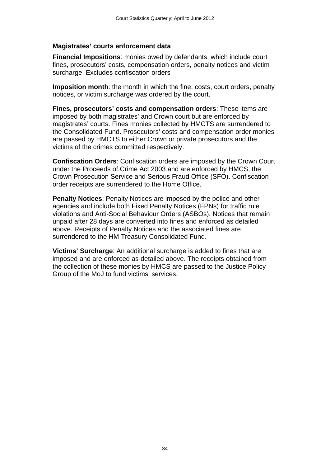#### **Magistrates' courts enforcement data**

**Financial Impositions**: monies owed by defendants, which include court fines, prosecutors' costs, compensation orders, penalty notices and victim surcharge. Excludes confiscation orders

**Imposition month**: the month in which the fine, costs, court orders, penalty notices, or victim surcharge was ordered by the court.

**Fines, prosecutors' costs and compensation orders**: These items are imposed by both magistrates' and Crown court but are enforced by magistrates' courts. Fines monies collected by HMCTS are surrendered to the Consolidated Fund. Prosecutors' costs and compensation order monies are passed by HMCTS to either Crown or private prosecutors and the victims of the crimes committed respectively.

**Confiscation Orders**: Confiscation orders are imposed by the Crown Court under the Proceeds of Crime Act 2003 and are enforced by HMCS, the Crown Prosecution Service and Serious Fraud Office (SFO). Confiscation order receipts are surrendered to the Home Office.

**Penalty Notices**: Penalty Notices are imposed by the police and other agencies and include both Fixed Penalty Notices (FPNs) for traffic rule violations and Anti-Social Behaviour Orders (ASBOs). Notices that remain unpaid after 28 days are converted into fines and enforced as detailed above. Receipts of Penalty Notices and the associated fines are surrendered to the HM Treasury Consolidated Fund.

**Victims' Surcharge**: An additional surcharge is added to fines that are imposed and are enforced as detailed above. The receipts obtained from the collection of these monies by HMCS are passed to the Justice Policy Group of the MoJ to fund victims' services.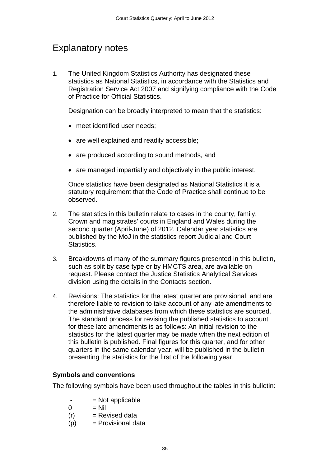# Explanatory notes

1. The United Kingdom Statistics Authority has designated these statistics as National Statistics, in accordance with the Statistics and Registration Service Act 2007 and signifying compliance with the Code of Practice for Official Statistics.

Designation can be broadly interpreted to mean that the statistics:

- meet identified user needs:
- are well explained and readily accessible;
- are produced according to sound methods, and
- are managed impartially and objectively in the public interest.

Once statistics have been designated as National Statistics it is a statutory requirement that the Code of Practice shall continue to be observed.

- 2. The statistics in this bulletin relate to cases in the county, family, Crown and magistrates' courts in England and Wales during the second quarter (April-June) of 2012. Calendar year statistics are published by the MoJ in the statistics report Judicial and Court Statistics.
- 3. Breakdowns of many of the summary figures presented in this bulletin, such as split by case type or by HMCTS area, are available on request. Please contact the Justice Statistics Analytical Services division using the details in the Contacts section.
- 4. Revisions: The statistics for the latest quarter are provisional, and are therefore liable to revision to take account of any late amendments to the administrative databases from which these statistics are sourced. The standard process for revising the published statistics to account for these late amendments is as follows: An initial revision to the statistics for the latest quarter may be made when the next edition of this bulletin is published. Final figures for this quarter, and for other quarters in the same calendar year, will be published in the bulletin presenting the statistics for the first of the following year.

### **Symbols and conventions**

The following symbols have been used throughout the tables in this bulletin:

- $=$  Not applicable
- $0 = Nil$
- $(r)$  = Revised data
- $(p)$  = Provisional data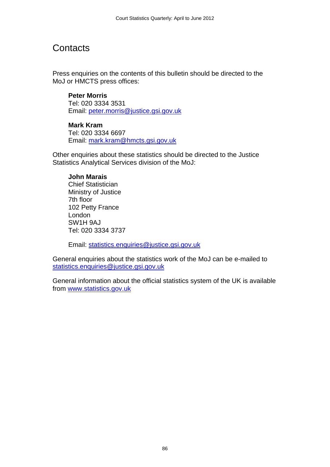# **Contacts**

Press enquiries on the contents of this bulletin should be directed to the MoJ or HMCTS press offices:

**Peter Morris** Tel: 020 3334 3531 Email: [peter.morris@justice.gsi.gov.uk](mailto:peter.morris@justice.gsi.gov.uk)

#### **Mark Kram**

Tel: 020 3334 6697 Email: [mark.kram@hmcts.gsi.gov.uk](mailto:mark.kram@hmcts.gsi.gov.uk)

Other enquiries about these statistics should be directed to the Justice Statistics Analytical Services division of the MoJ:

#### **John Marais**

Chief Statistician Ministry of Justice 7th floor 102 Petty France London SW1H 9AJ Tel: 020 3334 3737

Email: [statistics.enquiries@justice.gsi.gov.uk](mailto:statistics.enquiries@justice.gsi.gov.uk)

General enquiries about the statistics work of the MoJ can be e-mailed to [statistics.enquiries@justice.gsi.gov.uk](mailto:statistics.enquiries@justice.gsi.gov.uk)

General information about the official statistics system of the UK is available from [www.statistics.gov.uk](http://www.statistics.gov.uk/)